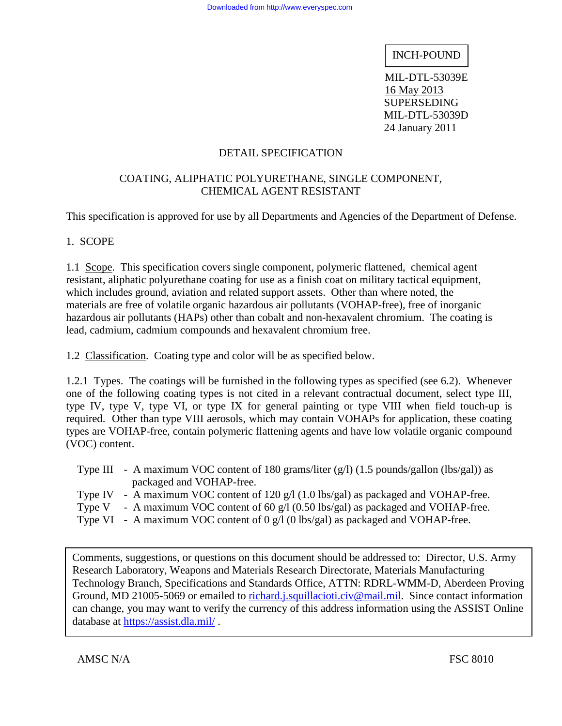INCH-POUND

 MIL-DTL-53039E 16 May 2013 SUPERSEDING MIL-DTL-53039D 24 January 2011

## DETAIL SPECIFICATION

### COATING, ALIPHATIC POLYURETHANE, SINGLE COMPONENT, CHEMICAL AGENT RESISTANT

This specification is approved for use by all Departments and Agencies of the Department of Defense.

### 1. SCOPE

1.1 Scope. This specification covers single component, polymeric flattened, chemical agent resistant, aliphatic polyurethane coating for use as a finish coat on military tactical equipment, which includes ground, aviation and related support assets. Other than where noted, the materials are free of volatile organic hazardous air pollutants (VOHAP-free), free of inorganic hazardous air pollutants (HAPs) other than cobalt and non-hexavalent chromium. The coating is lead, cadmium, cadmium compounds and hexavalent chromium free.

1.2 Classification. Coating type and color will be as specified below.

1.2.1 Types. The coatings will be furnished in the following types as specified (see 6.2). Whenever one of the following coating types is not cited in a relevant contractual document, select type III, type IV, type V, type VI, or type IX for general painting or type VIII when field touch-up is required. Other than type VIII aerosols, which may contain VOHAPs for application, these coating types are VOHAP-free, contain polymeric flattening agents and have low volatile organic compound (VOC) content.

|  | Type III - A maximum VOC content of 180 grams/liter $(g/1)$ (1.5 pounds/gallon (lbs/gal)) as |
|--|----------------------------------------------------------------------------------------------|
|  | packaged and VOHAP-free.                                                                     |
|  | Type IV - A maximum VOC content of 120 $g/1$ (1.0 lbs/gal) as packaged and VOHAP-free.       |

- Type V A maximum VOC content of 60 g/l (0.50 lbs/gal) as packaged and VOHAP-free.
- Type VI A maximum VOC content of 0 g/l (0 lbs/gal) as packaged and VOHAP-free.

database at https://assist.dla.mil/. Comments, suggestions, or questions on this document should be addressed to: Director, U.S. Army Research Laboratory, Weapons and Materials Research Directorate, Materials Manufacturing Technology Branch, Specifications and Standards Office, ATTN: RDRL-WMM-D, Aberdeen Proving Ground, MD 21005-5069 or emailed to richard.j.squillacioti.civ@mail.mil. Since contact information can change, you may want to verify the currency of this address information using the ASSIST Online

AMSC N/A FSC 8010

 $\overline{a}$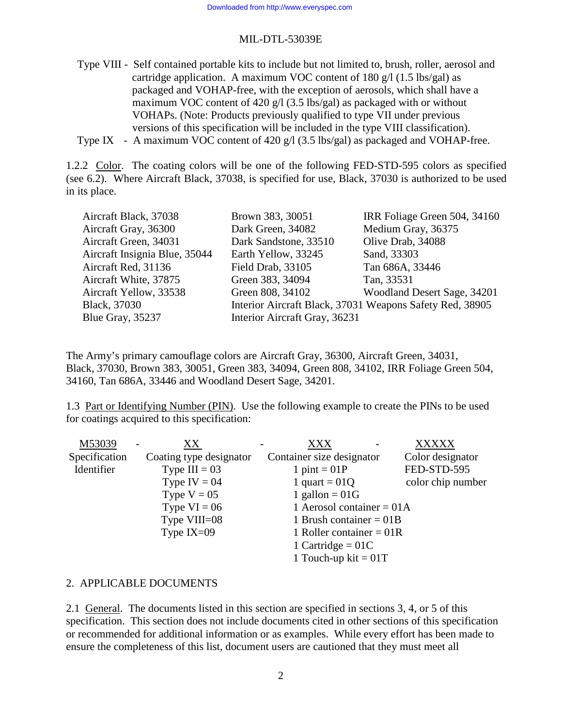Type VIII - Self contained portable kits to include but not limited to, brush, roller, aerosol and cartridge application. A maximum VOC content of 180 g/l (1.5 lbs/gal) as packaged and VOHAP-free, with the exception of aerosols, which shall have a maximum VOC content of 420 g/l (3.5 lbs/gal) as packaged with or without VOHAPs. (Note: Products previously qualified to type VII under previous versions of this specification will be included in the type VIII classification).

Type IX - A maximum VOC content of 420 g/l (3.5 lbs/gal) as packaged and VOHAP-free.

1.2.2 Color. The coating colors will be one of the following FED-STD-595 colors as specified (see 6.2). Where Aircraft Black, 37038, is specified for use, Black, 37030 is authorized to be used in its place.

| Brown 383, 30051              | IRR Foliage Green 504, 34160                             |
|-------------------------------|----------------------------------------------------------|
| Dark Green, 34082             | Medium Gray, 36375                                       |
| Dark Sandstone, 33510         | Olive Drab, 34088                                        |
| Earth Yellow, 33245           | Sand, 33303                                              |
| Field Drab, 33105             | Tan 686A, 33446                                          |
| Green 383, 34094              | Tan, 33531                                               |
| Green 808, 34102              | Woodland Desert Sage, 34201                              |
|                               | Interior Aircraft Black, 37031 Weapons Safety Red, 38905 |
| Interior Aircraft Gray, 36231 |                                                          |
|                               |                                                          |

The Army's primary camouflage colors are Aircraft Gray, 36300, Aircraft Green, 34031, Black, 37030, Brown 383, 30051, Green 383, 34094, Green 808, 34102, IRR Foliage Green 504, 34160, Tan 686A, 33446 and Woodland Desert Sage, 34201.

1.3 Part or Identifying Number (PIN). Use the following example to create the PINs to be used for coatings acquired to this specification:

| M53039        | XX                      | <b>XXX</b>                  | <b>XXXXX</b>      |
|---------------|-------------------------|-----------------------------|-------------------|
| Specification | Coating type designator | Container size designator   | Color designator  |
| Identifier    | Type $III = 03$         | 1 pint = $01P$              | FED-STD-595       |
|               | Type IV = $04$          | 1 quart = $01Q$             | color chip number |
|               | Type $V = 05$           | 1 gallon = $01G$            |                   |
|               | Type $VI = 06$          | 1 Aerosol container = $01A$ |                   |
|               | Type VIII=08            | 1 Brush container = $01B$   |                   |
|               | Type $IX=09$            | 1 Roller container = $01R$  |                   |
|               |                         | 1 Cartridge = $01C$         |                   |
|               |                         | 1 Touch-up kit = $01T$      |                   |

#### 2. APPLICABLE DOCUMENTS

2.1 General. The documents listed in this section are specified in sections 3, 4, or 5 of this specification. This section does not include documents cited in other sections of this specification or recommended for additional information or as examples. While every effort has been made to ensure the completeness of this list, document users are cautioned that they must meet all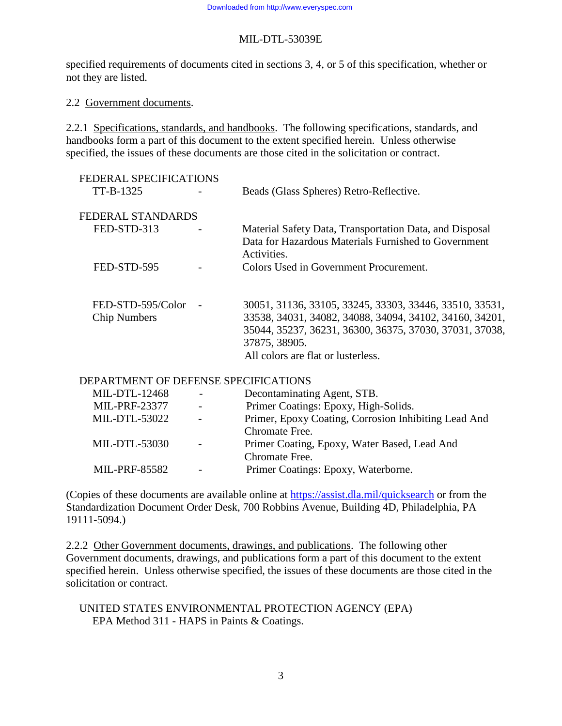specified requirements of documents cited in sections 3, 4, or 5 of this specification, whether or not they are listed.

### 2.2 Government documents.

2.2.1 Specifications, standards, and handbooks. The following specifications, standards, and handbooks form a part of this document to the extent specified herein. Unless otherwise specified, the issues of these documents are those cited in the solicitation or contract.

| FEDERAL SPECIFICATIONS<br>TT-B-1325      | Beads (Glass Spheres) Retro-Reflective.                                                                                                                                                                                              |
|------------------------------------------|--------------------------------------------------------------------------------------------------------------------------------------------------------------------------------------------------------------------------------------|
| FEDERAL STANDARDS                        |                                                                                                                                                                                                                                      |
| FED-STD-313                              | Material Safety Data, Transportation Data, and Disposal<br>Data for Hazardous Materials Furnished to Government<br>Activities.                                                                                                       |
| FED-STD-595                              | Colors Used in Government Procurement.                                                                                                                                                                                               |
| FED-STD-595/Color<br><b>Chip Numbers</b> | 30051, 31136, 33105, 33245, 33303, 33446, 33510, 33531,<br>33538, 34031, 34082, 34088, 34094, 34102, 34160, 34201,<br>35044, 35237, 36231, 36300, 36375, 37030, 37031, 37038,<br>37875, 38905.<br>All colors are flat or lusterless. |

## DEPARTMENT OF DEFENSE SPECIFICATIONS

| MIL-DTL-12468        |                          | Decontaminating Agent, STB.                          |
|----------------------|--------------------------|------------------------------------------------------|
| <b>MIL-PRF-23377</b> | $\overline{\phantom{a}}$ | Primer Coatings: Epoxy, High-Solids.                 |
| <b>MIL-DTL-53022</b> | $\overline{\phantom{a}}$ | Primer, Epoxy Coating, Corrosion Inhibiting Lead And |
|                      |                          | Chromate Free.                                       |
| <b>MIL-DTL-53030</b> |                          | Primer Coating, Epoxy, Water Based, Lead And         |
|                      |                          | Chromate Free.                                       |
| <b>MIL-PRF-85582</b> | $\overline{\phantom{0}}$ | Primer Coatings: Epoxy, Waterborne.                  |
|                      |                          |                                                      |

(Copies of these documents are available online at https://assist.dla.mil/quicksearch or from the Standardization Document Order Desk, 700 Robbins Avenue, Building 4D, Philadelphia, PA 19111-5094.)

2.2.2 Other Government documents, drawings, and publications. The following other Government documents, drawings, and publications form a part of this document to the extent specified herein. Unless otherwise specified, the issues of these documents are those cited in the solicitation or contract.

 UNITED STATES ENVIRONMENTAL PROTECTION AGENCY (EPA) EPA Method 311 - HAPS in Paints & Coatings.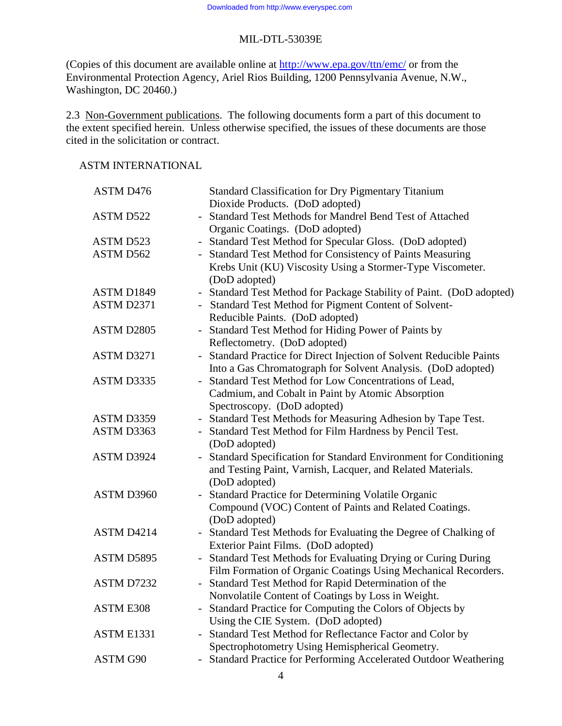(Copies of this document are available online at http://www.epa.gov/ttn/emc/ or from the Environmental Protection Agency, Ariel Rios Building, 1200 Pennsylvania Avenue, N.W., Washington, DC 20460.)

2.3 Non-Government publications. The following documents form a part of this document to the extent specified herein. Unless otherwise specified, the issues of these documents are those cited in the solicitation or contract.

### ASTM INTERNATIONAL

| ASTM D476        | <b>Standard Classification for Dry Pigmentary Titanium</b>                                   |
|------------------|----------------------------------------------------------------------------------------------|
|                  | Dioxide Products. (DoD adopted)                                                              |
| ASTM D522        | Standard Test Methods for Mandrel Bend Test of Attached                                      |
|                  | Organic Coatings. (DoD adopted)                                                              |
| ASTM D523        | Standard Test Method for Specular Gloss. (DoD adopted)<br>$\overline{\phantom{0}}$           |
| ASTM D562        | Standard Test Method for Consistency of Paints Measuring                                     |
|                  | Krebs Unit (KU) Viscosity Using a Stormer-Type Viscometer.                                   |
|                  | (DoD adopted)                                                                                |
| ASTM D1849       | - Standard Test Method for Package Stability of Paint. (DoD adopted)                         |
| ASTM D2371       | Standard Test Method for Pigment Content of Solvent-                                         |
|                  | Reducible Paints. (DoD adopted)                                                              |
| ASTM D2805       | Standard Test Method for Hiding Power of Paints by                                           |
|                  | Reflectometry. (DoD adopted)                                                                 |
| ASTM D3271       | Standard Practice for Direct Injection of Solvent Reducible Paints                           |
|                  | Into a Gas Chromatograph for Solvent Analysis. (DoD adopted)                                 |
| ASTM D3335       | Standard Test Method for Low Concentrations of Lead,<br>÷,                                   |
|                  | Cadmium, and Cobalt in Paint by Atomic Absorption                                            |
|                  | Spectroscopy. (DoD adopted)                                                                  |
| ASTM D3359       | - Standard Test Methods for Measuring Adhesion by Tape Test.                                 |
| ASTM D3363       | Standard Test Method for Film Hardness by Pencil Test.                                       |
|                  | (DoD adopted)                                                                                |
| ASTM D3924       | Standard Specification for Standard Environment for Conditioning<br>$\overline{\phantom{0}}$ |
|                  | and Testing Paint, Varnish, Lacquer, and Related Materials.                                  |
|                  | (DoD adopted)                                                                                |
| ASTM D3960       | Standard Practice for Determining Volatile Organic<br>$\equiv$                               |
|                  | Compound (VOC) Content of Paints and Related Coatings.                                       |
|                  | (DoD adopted)                                                                                |
| ASTM D4214       | Standard Test Methods for Evaluating the Degree of Chalking of<br>$\equiv$                   |
|                  | Exterior Paint Films. (DoD adopted)                                                          |
| ASTM D5895       | Standard Test Methods for Evaluating Drying or Curing During                                 |
|                  | Film Formation of Organic Coatings Using Mechanical Recorders.                               |
| ASTM D7232       | Standard Test Method for Rapid Determination of the                                          |
|                  | Nonvolatile Content of Coatings by Loss in Weight.                                           |
| <b>ASTM E308</b> | Standard Practice for Computing the Colors of Objects by                                     |
|                  | Using the CIE System. (DoD adopted)                                                          |
| ASTM E1331       | Standard Test Method for Reflectance Factor and Color by                                     |
|                  | Spectrophotometry Using Hemispherical Geometry.                                              |
| ASTM G90         | Standard Practice for Performing Accelerated Outdoor Weathering                              |

4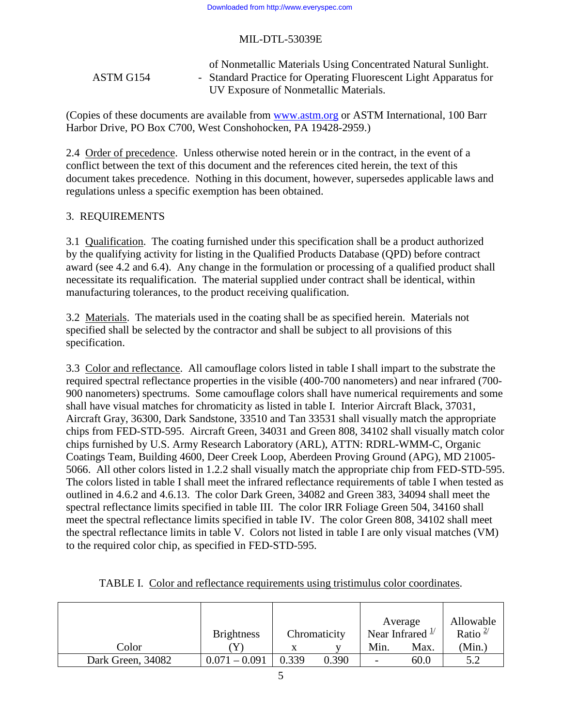#### of Nonmetallic Materials Using Concentrated Natural Sunlight. ASTM G154 - Standard Practice for Operating Fluorescent Light Apparatus for UV Exposure of Nonmetallic Materials.

(Copies of these documents are available from www.astm.org or ASTM International, 100 Barr Harbor Drive, PO Box C700, West Conshohocken, PA 19428-2959.)

2.4 Order of precedence. Unless otherwise noted herein or in the contract, in the event of a conflict between the text of this document and the references cited herein, the text of this document takes precedence. Nothing in this document, however, supersedes applicable laws and regulations unless a specific exemption has been obtained.

#### 3. REQUIREMENTS

3.1 Qualification. The coating furnished under this specification shall be a product authorized by the qualifying activity for listing in the Qualified Products Database (QPD) before contract award (see 4.2 and 6.4). Any change in the formulation or processing of a qualified product shall necessitate its requalification. The material supplied under contract shall be identical, within manufacturing tolerances, to the product receiving qualification.

3.2 Materials. The materials used in the coating shall be as specified herein. Materials not specified shall be selected by the contractor and shall be subject to all provisions of this specification.

3.3 Color and reflectance. All camouflage colors listed in table I shall impart to the substrate the required spectral reflectance properties in the visible (400-700 nanometers) and near infrared (700- 900 nanometers) spectrums. Some camouflage colors shall have numerical requirements and some shall have visual matches for chromaticity as listed in table I. Interior Aircraft Black, 37031, Aircraft Gray, 36300, Dark Sandstone, 33510 and Tan 33531 shall visually match the appropriate chips from FED-STD-595. Aircraft Green, 34031 and Green 808, 34102 shall visually match color chips furnished by U.S. Army Research Laboratory (ARL), ATTN: RDRL-WMM-C, Organic Coatings Team, Building 4600, Deer Creek Loop, Aberdeen Proving Ground (APG), MD 21005- 5066. All other colors listed in 1.2.2 shall visually match the appropriate chip from FED-STD-595. The colors listed in table I shall meet the infrared reflectance requirements of table I when tested as outlined in 4.6.2 and 4.6.13. The color Dark Green, 34082 and Green 383, 34094 shall meet the spectral reflectance limits specified in table III. The color IRR Foliage Green 504, 34160 shall meet the spectral reflectance limits specified in table IV. The color Green 808, 34102 shall meet the spectral reflectance limits in table V. Colors not listed in table I are only visual matches (VM) to the required color chip, as specified in FED-STD-595.

| Color             | <b>Brightness</b> |       | Chromaticity | Min.                     | Average<br>Near Infrared $\frac{1}{1}$<br>Max. | Allowable<br>Ratio $^{2/}$<br>(Min.) |
|-------------------|-------------------|-------|--------------|--------------------------|------------------------------------------------|--------------------------------------|
| Dark Green, 34082 | $0.071 - 0.091$   | 0.339 | 0.390        | $\overline{\phantom{0}}$ | 60.0                                           | 5.2                                  |

|  |  | TABLE I. Color and reflectance requirements using tristimulus color coordinates. |  |  |  |  |
|--|--|----------------------------------------------------------------------------------|--|--|--|--|
|--|--|----------------------------------------------------------------------------------|--|--|--|--|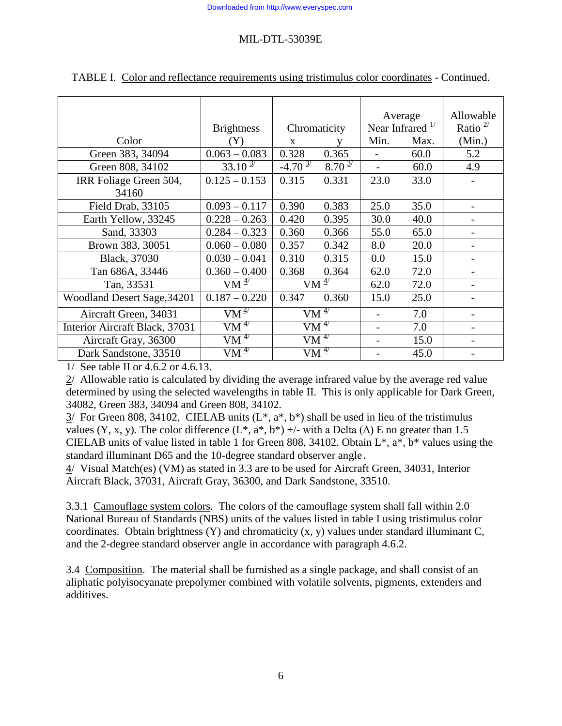|                                | <b>Brightness</b><br>Chromaticity      |                      | Average<br>Near Infrared $\frac{1}{1}$ |      | Allowable<br>Ratio $2/$ |        |
|--------------------------------|----------------------------------------|----------------------|----------------------------------------|------|-------------------------|--------|
| Color                          | Y)                                     | X                    |                                        | Min. | Max.                    | (Min.) |
| Green 383, 34094               | $0.063 - 0.083$                        | 0.328<br>0.365       |                                        |      | 60.0                    | 5.2    |
| Green 808, 34102               | $33.10^{\frac{3}{}$                    | $-4.70^{3/7}$        | $8.70 \frac{3}{7}$                     |      | 60.0                    | 4.9    |
| IRR Foliage Green 504,         | $0.125 - 0.153$                        | 0.315                | 0.331                                  | 23.0 | 33.0                    |        |
| 34160                          |                                        |                      |                                        |      |                         |        |
| Field Drab, 33105              | $0.093 - 0.117$                        | 0.390                | 0.383                                  | 25.0 | 35.0                    |        |
| Earth Yellow, 33245            | $0.228 - 0.263$                        | 0.420                | 0.395                                  | 30.0 | 40.0                    |        |
| Sand, 33303                    | $0.284 - 0.323$                        | 0.360                | 0.366                                  | 55.0 | 65.0                    |        |
| Brown 383, 30051               | $0.060 - 0.080$                        | 0.357                | 0.342                                  | 8.0  | 20.0                    |        |
| Black, 37030                   | $0.030 - 0.041$                        | 0.310                | 0.315                                  | 0.0  | 15.0                    | -      |
| Tan 686A, 33446                | $0.360 - 0.400$                        | 0.368                | 0.364                                  | 62.0 | 72.0                    |        |
| Tan, 33531                     | $VM^{\frac{1}{2}}$                     |                      | $VM^{\frac{4}{}}$                      | 62.0 | 72.0                    |        |
| Woodland Desert Sage, 34201    | $0.187 - 0.220$                        | 0.347                | 0.360                                  | 15.0 | 25.0                    |        |
| Aircraft Green, 34031          | VM <sup>47</sup>                       | $VM^{\overline{47}}$ |                                        |      | 7.0                     |        |
| Interior Aircraft Black, 37031 | $VM^{\frac{1}{2}}$<br>VM $\frac{4}{7}$ |                      |                                        |      | 7.0                     |        |
| Aircraft Gray, 36300           | VM $\frac{4}{7}$                       | $VM^{\frac{1}{2}}$   |                                        |      | 15.0                    |        |
| Dark Sandstone, 33510          | $VM \frac{47}{4}$                      |                      | VM $\frac{4}{7}$                       |      | 45.0                    |        |

TABLE I. Color and reflectance requirements using tristimulus color coordinates - Continued.

1/ See table II or 4.6.2 or 4.6.13.

2/ Allowable ratio is calculated by dividing the average infrared value by the average red value determined by using the selected wavelengths in table II. This is only applicable for Dark Green, 34082, Green 383, 34094 and Green 808, 34102.

3/ For Green 808, 34102, CIELAB units  $(L^*, a^*, b^*)$  shall be used in lieu of the tristimulus values (Y, x, y). The color difference (L\*, a\*, b\*) +/- with a Delta ( $\Delta$ ) E no greater than 1.5 CIELAB units of value listed in table 1 for Green 808, 34102. Obtain L\*, a\*, b\* values using the standard illuminant D65 and the 10-degree standard observer angle.

4/ Visual Match(es) (VM) as stated in 3.3 are to be used for Aircraft Green, 34031, Interior Aircraft Black, 37031, Aircraft Gray, 36300, and Dark Sandstone, 33510.

3.3.1 Camouflage system colors. The colors of the camouflage system shall fall within 2.0 National Bureau of Standards (NBS) units of the values listed in table I using tristimulus color coordinates. Obtain brightness (Y) and chromaticity (x, y) values under standard illuminant C, and the 2-degree standard observer angle in accordance with paragraph 4.6.2.

3.4 Composition. The material shall be furnished as a single package, and shall consist of an aliphatic polyisocyanate prepolymer combined with volatile solvents, pigments, extenders and additives.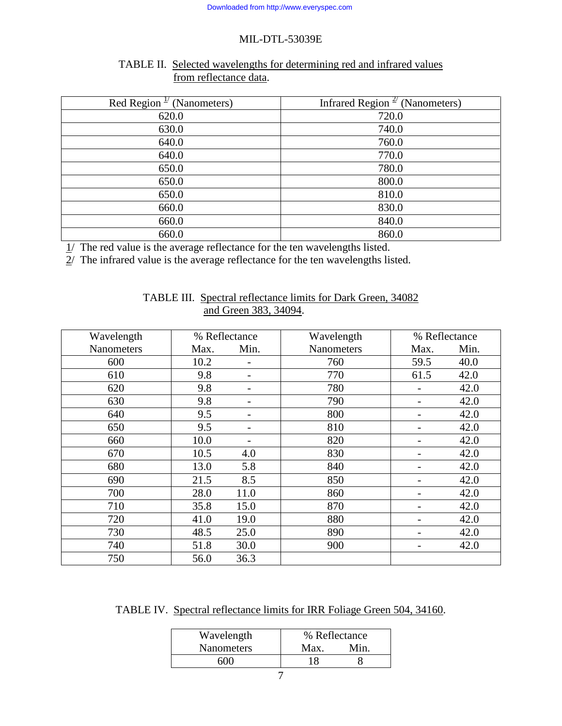## TABLE II. Selected wavelengths for determining red and infrared values from reflectance data.

| Red Region $\frac{1}{\sqrt{N}}$ (Nanometers) | Infrared Region <sup><math>\frac{2}{2}</math></sup> (Nanometers) |
|----------------------------------------------|------------------------------------------------------------------|
| 620.0                                        | 720.0                                                            |
| 630.0                                        | 740.0                                                            |
| 640.0                                        | 760.0                                                            |
| 640.0                                        | 770.0                                                            |
| 650.0                                        | 780.0                                                            |
| 650.0                                        | 800.0                                                            |
| 650.0                                        | 810.0                                                            |
| 660.0                                        | 830.0                                                            |
| 660.0                                        | 840.0                                                            |
| 660.0                                        | 860.0                                                            |

1/ The red value is the average reflectance for the ten wavelengths listed.

 $\overline{2}$ / The infrared value is the average reflectance for the ten wavelengths listed.

| Wavelength        |      | % Reflectance | Wavelength        |      | % Reflectance |
|-------------------|------|---------------|-------------------|------|---------------|
| <b>Nanometers</b> | Max. | Min.          | <b>Nanometers</b> | Max. | Min.          |
| 600               | 10.2 |               | 760               | 59.5 | 40.0          |
| 610               | 9.8  |               | 770               | 61.5 | 42.0          |
| 620               | 9.8  |               | 780               |      | 42.0          |
| 630               | 9.8  |               | 790               |      | 42.0          |
| 640               | 9.5  |               | 800               |      | 42.0          |
| 650               | 9.5  |               | 810               |      | 42.0          |
| 660               | 10.0 |               | 820               |      | 42.0          |
| 670               | 10.5 | 4.0           | 830               |      | 42.0          |
| 680               | 13.0 | 5.8           | 840               | -    | 42.0          |
| 690               | 21.5 | 8.5           | 850               |      | 42.0          |
| 700               | 28.0 | 11.0          | 860               |      | 42.0          |
| 710               | 35.8 | 15.0          | 870               |      | 42.0          |
| 720               | 41.0 | 19.0          | 880               |      | 42.0          |
| 730               | 48.5 | 25.0          | 890               |      | 42.0          |
| 740               | 51.8 | 30.0          | 900               |      | 42.0          |
| 750               | 56.0 | 36.3          |                   |      |               |

## TABLE III. Spectral reflectance limits for Dark Green, 34082 and Green 383, 34094.

TABLE IV. Spectral reflectance limits for IRR Foliage Green 504, 34160.

| Max. | Min.          |
|------|---------------|
|      |               |
|      | % Reflectance |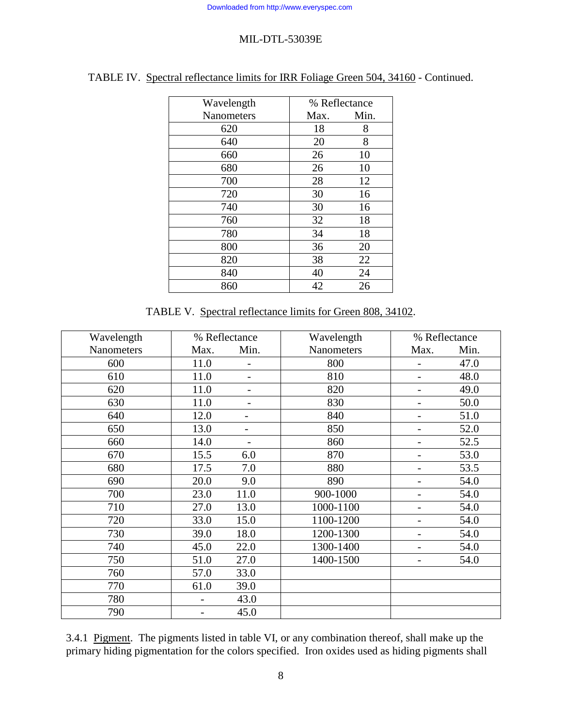| Wavelength        | % Reflectance |      |
|-------------------|---------------|------|
| <b>Nanometers</b> | Max.          | Min. |
| 620               | 18            | 8    |
| 640               | 20            | 8    |
| 660               | 26            | 10   |
| 680               | 26            | 10   |
| 700               | 28            | 12   |
| 720               | 30            | 16   |
| 740               | 30            | 16   |
| 760               | 32            | 18   |
| 780               | 34            | 18   |
| 800               | 36            | 20   |
| 820               | 38            | 22   |
| 840               | 40            | 24   |
| 860               | 42            | 26   |

# TABLE IV. Spectral reflectance limits for IRR Foliage Green 504, 34160 - Continued.

TABLE V. Spectral reflectance limits for Green 808, 34102.

| Wavelength | % Reflectance |                          | Wavelength | % Reflectance |      |
|------------|---------------|--------------------------|------------|---------------|------|
| Nanometers | Max.          | Min.                     | Nanometers | Max.          | Min. |
| 600        | 11.0          | $\overline{a}$           | 800        |               | 47.0 |
| 610        | 11.0          | $\qquad \qquad -$        | 810        |               | 48.0 |
| 620        | 11.0          |                          | 820        |               | 49.0 |
| 630        | 11.0          | $\overline{a}$           | 830        |               | 50.0 |
| 640        | 12.0          | $\overline{\phantom{0}}$ | 840        |               | 51.0 |
| 650        | 13.0          |                          | 850        |               | 52.0 |
| 660        | 14.0          | $\overline{a}$           | 860        |               | 52.5 |
| 670        | 15.5          | 6.0                      | 870        |               | 53.0 |
| 680        | 17.5          | 7.0                      | 880        |               | 53.5 |
| 690        | 20.0          | 9.0                      | 890        |               | 54.0 |
| 700        | 23.0          | 11.0                     | 900-1000   |               | 54.0 |
| 710        | 27.0          | 13.0                     | 1000-1100  |               | 54.0 |
| 720        | 33.0          | 15.0                     | 1100-1200  |               | 54.0 |
| 730        | 39.0          | 18.0                     | 1200-1300  |               | 54.0 |
| 740        | 45.0          | 22.0                     | 1300-1400  | -             | 54.0 |
| 750        | 51.0          | 27.0                     | 1400-1500  |               | 54.0 |
| 760        | 57.0          | 33.0                     |            |               |      |
| 770        | 61.0          | 39.0                     |            |               |      |
| 780        |               | 43.0                     |            |               |      |
| 790        |               | 45.0                     |            |               |      |

3.4.1 Pigment. The pigments listed in table VI, or any combination thereof, shall make up the primary hiding pigmentation for the colors specified. Iron oxides used as hiding pigments shall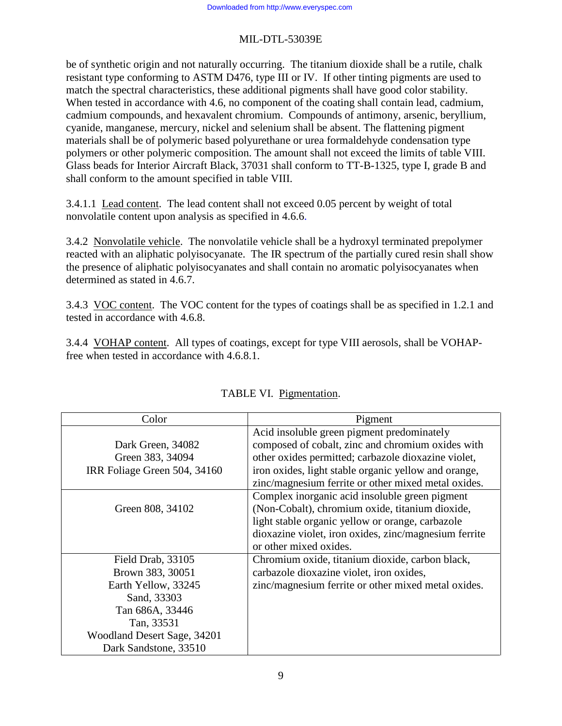be of synthetic origin and not naturally occurring. The titanium dioxide shall be a rutile, chalk resistant type conforming to ASTM D476, type III or IV. If other tinting pigments are used to match the spectral characteristics, these additional pigments shall have good color stability. When tested in accordance with 4.6, no component of the coating shall contain lead, cadmium, cadmium compounds, and hexavalent chromium. Compounds of antimony, arsenic, beryllium, cyanide, manganese, mercury, nickel and selenium shall be absent. The flattening pigment materials shall be of polymeric based polyurethane or urea formaldehyde condensation type polymers or other polymeric composition. The amount shall not exceed the limits of table VIII. Glass beads for Interior Aircraft Black, 37031 shall conform to TT-B-1325, type I, grade B and shall conform to the amount specified in table VIII.

3.4.1.1 Lead content. The lead content shall not exceed 0.05 percent by weight of total nonvolatile content upon analysis as specified in 4.6.6.

3.4.2 Nonvolatile vehicle. The nonvolatile vehicle shall be a hydroxyl terminated prepolymer reacted with an aliphatic polyisocyanate. The IR spectrum of the partially cured resin shall show the presence of aliphatic polyisocyanates and shall contain no aromatic polyisocyanates when determined as stated in 4.6.7.

3.4.3 VOC content. The VOC content for the types of coatings shall be as specified in 1.2.1 and tested in accordance with 4.6.8.

3.4.4 VOHAP content. All types of coatings, except for type VIII aerosols, shall be VOHAPfree when tested in accordance with 4.6.8.1.

| Color                        | Pigment                                               |
|------------------------------|-------------------------------------------------------|
|                              | Acid insoluble green pigment predominately            |
| Dark Green, 34082            | composed of cobalt, zinc and chromium oxides with     |
| Green 383, 34094             | other oxides permitted; carbazole dioxazine violet,   |
| IRR Foliage Green 504, 34160 | iron oxides, light stable organic yellow and orange,  |
|                              | zinc/magnesium ferrite or other mixed metal oxides.   |
|                              | Complex inorganic acid insoluble green pigment        |
| Green 808, 34102             | (Non-Cobalt), chromium oxide, titanium dioxide,       |
|                              | light stable organic yellow or orange, carbazole      |
|                              | dioxazine violet, iron oxides, zinc/magnesium ferrite |
|                              | or other mixed oxides.                                |
| Field Drab, 33105            | Chromium oxide, titanium dioxide, carbon black,       |
| Brown 383, 30051             | carbazole dioxazine violet, iron oxides,              |
| Earth Yellow, 33245          | zinc/magnesium ferrite or other mixed metal oxides.   |
| Sand, 33303                  |                                                       |
| Tan 686A, 33446              |                                                       |
| Tan, 33531                   |                                                       |
| Woodland Desert Sage, 34201  |                                                       |
| Dark Sandstone, 33510        |                                                       |

| TABLE VI. Pigmentation. |
|-------------------------|
|                         |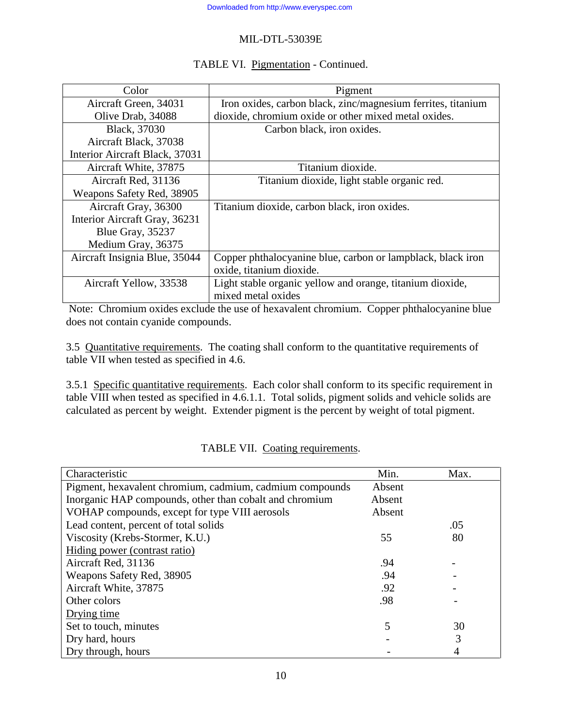## TABLE VI. Pigmentation - Continued.

| Color                          | Pigment                                                      |
|--------------------------------|--------------------------------------------------------------|
| Aircraft Green, 34031          | Iron oxides, carbon black, zinc/magnesium ferrites, titanium |
| Olive Drab, 34088              | dioxide, chromium oxide or other mixed metal oxides.         |
| Black, 37030                   | Carbon black, iron oxides.                                   |
| Aircraft Black, 37038          |                                                              |
| Interior Aircraft Black, 37031 |                                                              |
| Aircraft White, 37875          | Titanium dioxide.                                            |
| Aircraft Red, 31136            | Titanium dioxide, light stable organic red.                  |
| Weapons Safety Red, 38905      |                                                              |
| Aircraft Gray, 36300           | Titanium dioxide, carbon black, iron oxides.                 |
| Interior Aircraft Gray, 36231  |                                                              |
| Blue Gray, 35237               |                                                              |
| Medium Gray, 36375             |                                                              |
| Aircraft Insignia Blue, 35044  | Copper phthalocyanine blue, carbon or lampblack, black iron  |
|                                | oxide, titanium dioxide.                                     |
| Aircraft Yellow, 33538         | Light stable organic yellow and orange, titanium dioxide,    |
|                                | mixed metal oxides                                           |

 Note: Chromium oxides exclude the use of hexavalent chromium. Copper phthalocyanine blue does not contain cyanide compounds.

3.5 Quantitative requirements. The coating shall conform to the quantitative requirements of table VII when tested as specified in 4.6.

3.5.1 Specific quantitative requirements. Each color shall conform to its specific requirement in table VIII when tested as specified in 4.6.1.1. Total solids, pigment solids and vehicle solids are calculated as percent by weight. Extender pigment is the percent by weight of total pigment.

| Characteristic                                           | Min.   | Max. |
|----------------------------------------------------------|--------|------|
| Pigment, hexavalent chromium, cadmium, cadmium compounds | Absent |      |
| Inorganic HAP compounds, other than cobalt and chromium  | Absent |      |
| VOHAP compounds, except for type VIII aerosols           | Absent |      |
| Lead content, percent of total solids                    |        | .05  |
| Viscosity (Krebs-Stormer, K.U.)                          | 55     | 80   |
| Hiding power (contrast ratio)                            |        |      |
| Aircraft Red, 31136                                      | .94    |      |
| Weapons Safety Red, 38905                                | .94    |      |
| Aircraft White, 37875                                    | .92    |      |
| Other colors                                             | .98    |      |
| Drying time                                              |        |      |
| Set to touch, minutes                                    | 5      | 30   |
| Dry hard, hours                                          |        | 3    |
| Dry through, hours                                       |        |      |

TABLE VII. Coating requirements.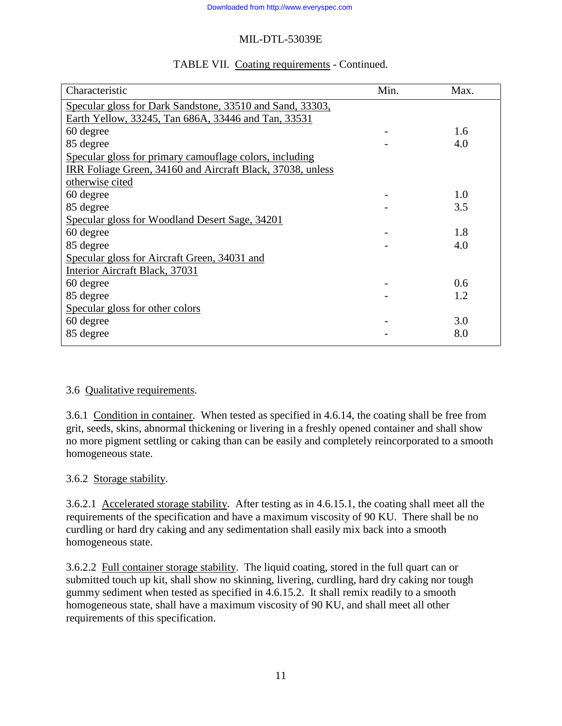|  | TABLE VII. Coating requirements - Continued. |
|--|----------------------------------------------|
|  |                                              |

| Characteristic                                             | Min. | Max. |
|------------------------------------------------------------|------|------|
| Specular gloss for Dark Sandstone, 33510 and Sand, 33303,  |      |      |
| Earth Yellow, 33245, Tan 686A, 33446 and Tan, 33531        |      |      |
| 60 degree                                                  |      | 1.6  |
| 85 degree                                                  |      | 4.0  |
| Specular gloss for primary camouflage colors, including    |      |      |
| IRR Foliage Green, 34160 and Aircraft Black, 37038, unless |      |      |
| otherwise cited                                            |      |      |
| 60 degree                                                  |      | 1.0  |
| 85 degree                                                  |      | 3.5  |
| Specular gloss for Woodland Desert Sage, 34201             |      |      |
| 60 degree                                                  |      | 1.8  |
| 85 degree                                                  |      | 4.0  |
| Specular gloss for Aircraft Green, 34031 and               |      |      |
| Interior Aircraft Black, 37031                             |      |      |
| 60 degree                                                  |      | 0.6  |
| 85 degree                                                  |      | 1.2  |
| Specular gloss for other colors                            |      |      |
| 60 degree                                                  |      | 3.0  |
| 85 degree                                                  |      | 8.0  |
|                                                            |      |      |

## 3.6 Qualitative requirements.

3.6.1 Condition in container. When tested as specified in 4.6.14, the coating shall be free from grit, seeds, skins, abnormal thickening or livering in a freshly opened container and shall show no more pigment settling or caking than can be easily and completely reincorporated to a smooth homogeneous state.

## 3.6.2 Storage stability.

3.6.2.1 Accelerated storage stability. After testing as in 4.6.15.1, the coating shall meet all the requirements of the specification and have a maximum viscosity of 90 KU. There shall be no curdling or hard dry caking and any sedimentation shall easily mix back into a smooth homogeneous state.

3.6.2.2 Full container storage stability. The liquid coating, stored in the full quart can or submitted touch up kit, shall show no skinning, livering, curdling, hard dry caking nor tough gummy sediment when tested as specified in 4.6.15.2. It shall remix readily to a smooth homogeneous state, shall have a maximum viscosity of 90 KU, and shall meet all other requirements of this specification.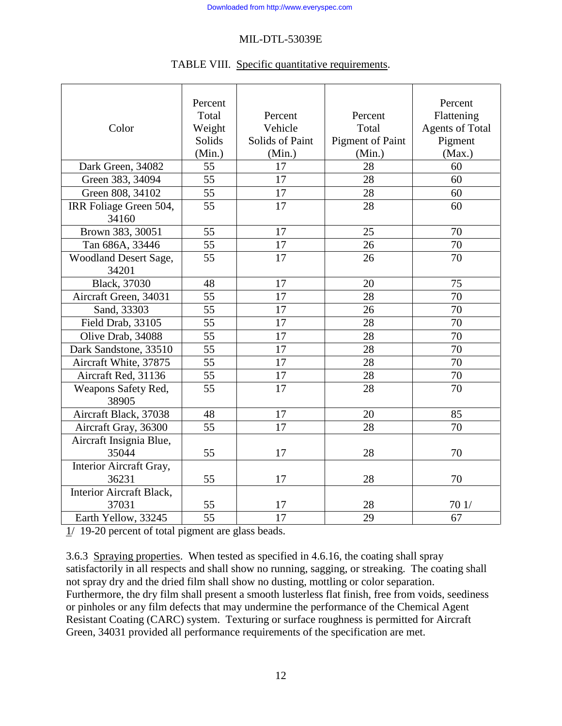#### TABLE VIII. Specific quantitative requirements.

|                              | Percent         |                 |                         | Percent                |
|------------------------------|-----------------|-----------------|-------------------------|------------------------|
|                              | Total           | Percent         | Percent                 | Flattening             |
| Color                        | Weight          | Vehicle         | Total                   | <b>Agents of Total</b> |
|                              | Solids          | Solids of Paint | <b>Pigment of Paint</b> | Pigment                |
|                              | (Min.)          | (Min.)          | (Min.)                  | (Max.)                 |
| Dark Green, 34082            | 55              | 17              | 28                      | 60                     |
| Green 383, 34094             | 55              | 17              | 28                      | 60                     |
| Green 808, 34102             | 55              | 17              | 28                      | 60                     |
| IRR Foliage Green 504,       | 55              | 17              | 28                      | 60                     |
| 34160                        |                 |                 |                         |                        |
| Brown 383, 30051             | 55              | 17              | 25                      | 70                     |
| Tan 686A, 33446              | 55              | 17              | 26                      | 70                     |
| <b>Woodland Desert Sage,</b> | $\overline{55}$ | 17              | 26                      | 70                     |
| 34201                        |                 |                 |                         |                        |
| Black, 37030                 | 48              | 17              | 20                      | 75                     |
| Aircraft Green, 34031        | 55              | 17              | 28                      | 70                     |
| Sand, 33303                  | 55              | 17              | 26                      | 70                     |
| Field Drab, 33105            | $\overline{55}$ | 17              | 28                      | 70                     |
| Olive Drab, 34088            | 55              | 17              | 28                      | 70                     |
| Dark Sandstone, 33510        | 55              | 17              | 28                      | 70                     |
| Aircraft White, 37875        | 55              | 17              | 28                      | 70                     |
| Aircraft Red, 31136          | 55              | 17              | 28                      | 70                     |
| Weapons Safety Red,<br>38905 | 55              | 17              | 28                      | 70                     |
| Aircraft Black, 37038        | 48              | 17              | 20                      | 85                     |
| Aircraft Gray, 36300         | 55              | 17              | 28                      | 70                     |
| Aircraft Insignia Blue,      |                 |                 |                         |                        |
| 35044                        | 55              | 17              | 28                      | 70                     |
| Interior Aircraft Gray,      |                 |                 |                         |                        |
| 36231                        | 55              | 17              | 28                      | 70                     |
| Interior Aircraft Black,     |                 |                 |                         |                        |
| 37031                        | 55              | 17              | 28                      | 701/                   |
| Earth Yellow, 33245          | 55              | 17              | 29                      | 67                     |

 $1/19-20$  percent of total pigment are glass beads.

3.6.3 Spraying properties. When tested as specified in 4.6.16, the coating shall spray satisfactorily in all respects and shall show no running, sagging, or streaking. The coating shall not spray dry and the dried film shall show no dusting, mottling or color separation. Furthermore, the dry film shall present a smooth lusterless flat finish, free from voids, seediness or pinholes or any film defects that may undermine the performance of the Chemical Agent Resistant Coating (CARC) system. Texturing or surface roughness is permitted for Aircraft Green, 34031 provided all performance requirements of the specification are met.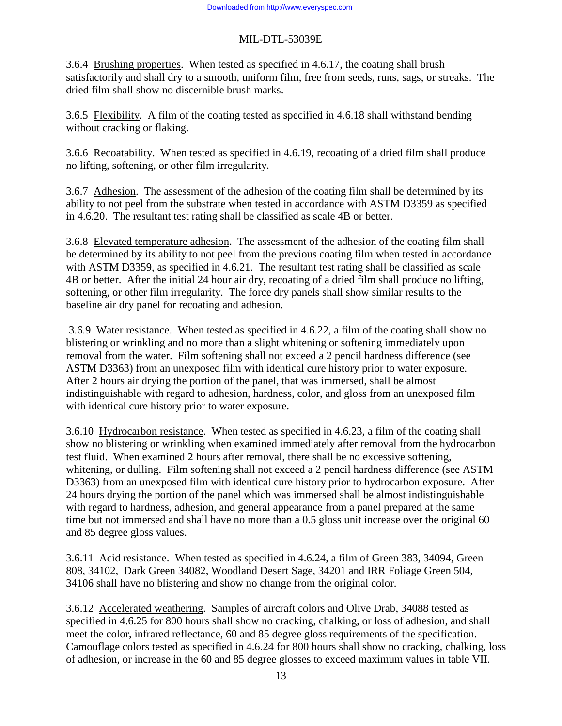3.6.4 Brushing properties. When tested as specified in 4.6.17, the coating shall brush satisfactorily and shall dry to a smooth, uniform film, free from seeds, runs, sags, or streaks. The dried film shall show no discernible brush marks.

3.6.5 Flexibility. A film of the coating tested as specified in 4.6.18 shall withstand bending without cracking or flaking.

3.6.6 Recoatability. When tested as specified in 4.6.19, recoating of a dried film shall produce no lifting, softening, or other film irregularity.

3.6.7 Adhesion. The assessment of the adhesion of the coating film shall be determined by its ability to not peel from the substrate when tested in accordance with ASTM D3359 as specified in 4.6.20. The resultant test rating shall be classified as scale 4B or better.

3.6.8 Elevated temperature adhesion. The assessment of the adhesion of the coating film shall be determined by its ability to not peel from the previous coating film when tested in accordance with ASTM D3359, as specified in 4.6.21. The resultant test rating shall be classified as scale 4B or better. After the initial 24 hour air dry, recoating of a dried film shall produce no lifting, softening, or other film irregularity. The force dry panels shall show similar results to the baseline air dry panel for recoating and adhesion.

 3.6.9 Water resistance. When tested as specified in 4.6.22, a film of the coating shall show no blistering or wrinkling and no more than a slight whitening or softening immediately upon removal from the water. Film softening shall not exceed a 2 pencil hardness difference (see ASTM D3363) from an unexposed film with identical cure history prior to water exposure. After 2 hours air drying the portion of the panel, that was immersed, shall be almost indistinguishable with regard to adhesion, hardness, color, and gloss from an unexposed film with identical cure history prior to water exposure.

3.6.10 Hydrocarbon resistance. When tested as specified in 4.6.23, a film of the coating shall show no blistering or wrinkling when examined immediately after removal from the hydrocarbon test fluid. When examined 2 hours after removal, there shall be no excessive softening, whitening, or dulling. Film softening shall not exceed a 2 pencil hardness difference (see ASTM D3363) from an unexposed film with identical cure history prior to hydrocarbon exposure. After 24 hours drying the portion of the panel which was immersed shall be almost indistinguishable with regard to hardness, adhesion, and general appearance from a panel prepared at the same time but not immersed and shall have no more than a 0.5 gloss unit increase over the original 60 and 85 degree gloss values.

3.6.11 Acid resistance. When tested as specified in 4.6.24, a film of Green 383, 34094, Green 808, 34102, Dark Green 34082, Woodland Desert Sage, 34201 and IRR Foliage Green 504, 34106 shall have no blistering and show no change from the original color.

3.6.12 Accelerated weathering. Samples of aircraft colors and Olive Drab, 34088 tested as specified in 4.6.25 for 800 hours shall show no cracking, chalking, or loss of adhesion, and shall meet the color, infrared reflectance, 60 and 85 degree gloss requirements of the specification. Camouflage colors tested as specified in 4.6.24 for 800 hours shall show no cracking, chalking, loss of adhesion, or increase in the 60 and 85 degree glosses to exceed maximum values in table VII.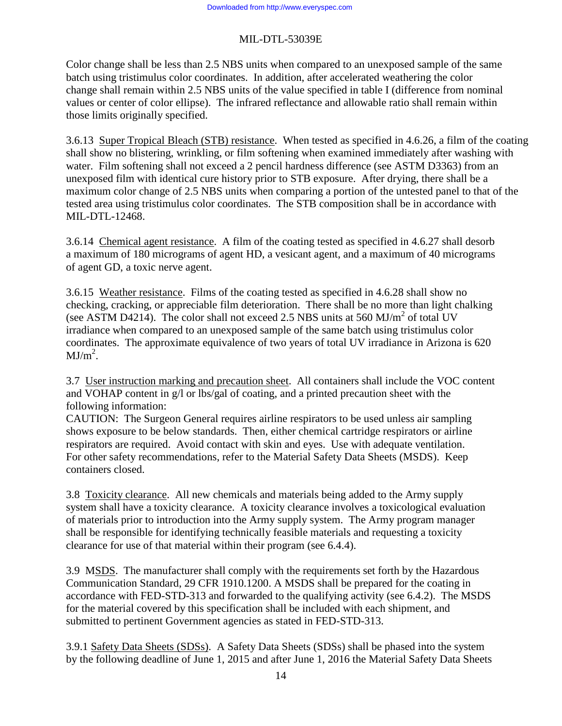Color change shall be less than 2.5 NBS units when compared to an unexposed sample of the same batch using tristimulus color coordinates. In addition, after accelerated weathering the color change shall remain within 2.5 NBS units of the value specified in table I (difference from nominal values or center of color ellipse). The infrared reflectance and allowable ratio shall remain within those limits originally specified.

3.6.13 Super Tropical Bleach (STB) resistance. When tested as specified in 4.6.26, a film of the coating shall show no blistering, wrinkling, or film softening when examined immediately after washing with water. Film softening shall not exceed a 2 pencil hardness difference (see ASTM D3363) from an unexposed film with identical cure history prior to STB exposure. After drying, there shall be a maximum color change of 2.5 NBS units when comparing a portion of the untested panel to that of the tested area using tristimulus color coordinates. The STB composition shall be in accordance with MIL-DTL-12468.

3.6.14 Chemical agent resistance. A film of the coating tested as specified in 4.6.27 shall desorb a maximum of 180 micrograms of agent HD, a vesicant agent, and a maximum of 40 micrograms of agent GD, a toxic nerve agent.

3.6.15 Weather resistance. Films of the coating tested as specified in 4.6.28 shall show no checking, cracking, or appreciable film deterioration. There shall be no more than light chalking (see ASTM D4214). The color shall not exceed 2.5 NBS units at 560 MJ/ $m^2$  of total UV irradiance when compared to an unexposed sample of the same batch using tristimulus color coordinates. The approximate equivalence of two years of total UV irradiance in Arizona is 620  $MJ/m<sup>2</sup>$ .

3.7 User instruction marking and precaution sheet. All containers shall include the VOC content and VOHAP content in g/l or lbs/gal of coating, and a printed precaution sheet with the following information:

CAUTION: The Surgeon General requires airline respirators to be used unless air sampling shows exposure to be below standards. Then, either chemical cartridge respirators or airline respirators are required. Avoid contact with skin and eyes. Use with adequate ventilation. For other safety recommendations, refer to the Material Safety Data Sheets (MSDS). Keep containers closed.

3.8 Toxicity clearance. All new chemicals and materials being added to the Army supply system shall have a toxicity clearance. A toxicity clearance involves a toxicological evaluation of materials prior to introduction into the Army supply system. The Army program manager shall be responsible for identifying technically feasible materials and requesting a toxicity clearance for use of that material within their program (see 6.4.4).

3.9 MSDS. The manufacturer shall comply with the requirements set forth by the Hazardous Communication Standard, 29 CFR 1910.1200. A MSDS shall be prepared for the coating in accordance with FED-STD-313 and forwarded to the qualifying activity (see 6.4.2). The MSDS for the material covered by this specification shall be included with each shipment, and submitted to pertinent Government agencies as stated in FED-STD-313.

3.9.1 Safety Data Sheets (SDSs). A Safety Data Sheets (SDSs) shall be phased into the system by the following deadline of June 1, 2015 and after June 1, 2016 the Material Safety Data Sheets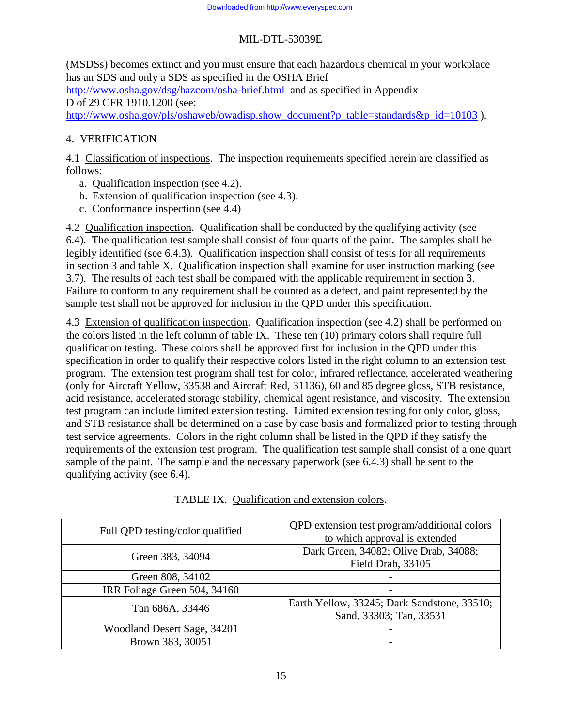(MSDSs) becomes extinct and you must ensure that each hazardous chemical in your workplace has an SDS and only a SDS as specified in the OSHA Brief

http://www.osha.gov/dsg/hazcom/osha-brief.html and as specified in Appendix D of 29 CFR 1910.1200 (see:

http://www.osha.gov/pls/oshaweb/owadisp.show\_document?p\_table=standards&p\_id=10103 ).

# 4. VERIFICATION

4.1 Classification of inspections. The inspection requirements specified herein are classified as follows:

- a. Qualification inspection (see 4.2).
- b. Extension of qualification inspection (see 4.3).
- c. Conformance inspection (see 4.4)

4.2 Qualification inspection. Qualification shall be conducted by the qualifying activity (see 6.4). The qualification test sample shall consist of four quarts of the paint. The samples shall be legibly identified (see 6.4.3). Qualification inspection shall consist of tests for all requirements in section 3 and table X. Qualification inspection shall examine for user instruction marking (see 3.7). The results of each test shall be compared with the applicable requirement in section 3. Failure to conform to any requirement shall be counted as a defect, and paint represented by the sample test shall not be approved for inclusion in the QPD under this specification.

4.3 Extension of qualification inspection. Qualification inspection (see 4.2) shall be performed on the colors listed in the left column of table IX. These ten (10) primary colors shall require full qualification testing. These colors shall be approved first for inclusion in the QPD under this specification in order to qualify their respective colors listed in the right column to an extension test program. The extension test program shall test for color, infrared reflectance, accelerated weathering (only for Aircraft Yellow, 33538 and Aircraft Red, 31136), 60 and 85 degree gloss, STB resistance, acid resistance, accelerated storage stability, chemical agent resistance, and viscosity. The extension test program can include limited extension testing. Limited extension testing for only color, gloss, and STB resistance shall be determined on a case by case basis and formalized prior to testing through test service agreements. Colors in the right column shall be listed in the QPD if they satisfy the requirements of the extension test program. The qualification test sample shall consist of a one quart sample of the paint. The sample and the necessary paperwork (see 6.4.3) shall be sent to the qualifying activity (see 6.4).

| Full QPD testing/color qualified | QPD extension test program/additional colors<br>to which approval is extended |
|----------------------------------|-------------------------------------------------------------------------------|
| Green 383, 34094                 | Dark Green, 34082; Olive Drab, 34088;<br>Field Drab, 33105                    |
| Green 808, 34102                 |                                                                               |
| IRR Foliage Green 504, 34160     |                                                                               |
| Tan 686A, 33446                  | Earth Yellow, 33245; Dark Sandstone, 33510;<br>Sand, 33303; Tan, 33531        |
| Woodland Desert Sage, 34201      |                                                                               |
| Brown 383, 30051                 |                                                                               |

TABLE IX. Qualification and extension colors.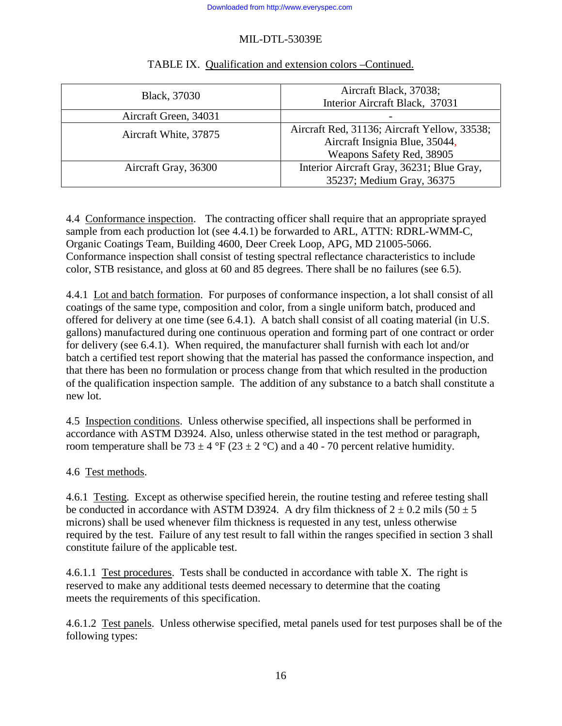| Black, 37030          | Aircraft Black, 37038;<br>Interior Aircraft Black, 37031                                                    |
|-----------------------|-------------------------------------------------------------------------------------------------------------|
| Aircraft Green, 34031 |                                                                                                             |
| Aircraft White, 37875 | Aircraft Red, 31136; Aircraft Yellow, 33538;<br>Aircraft Insignia Blue, 35044,<br>Weapons Safety Red, 38905 |
| Aircraft Gray, 36300  | Interior Aircraft Gray, 36231; Blue Gray,<br>35237; Medium Gray, 36375                                      |

# TABLE IX. Qualification and extension colors –Continued.

4.4 Conformance inspection. The contracting officer shall require that an appropriate sprayed sample from each production lot (see 4.4.1) be forwarded to ARL, ATTN: RDRL-WMM-C, Organic Coatings Team, Building 4600, Deer Creek Loop, APG, MD 21005-5066. Conformance inspection shall consist of testing spectral reflectance characteristics to include color, STB resistance, and gloss at 60 and 85 degrees. There shall be no failures (see 6.5).

4.4.1 Lot and batch formation. For purposes of conformance inspection, a lot shall consist of all coatings of the same type, composition and color, from a single uniform batch, produced and offered for delivery at one time (see 6.4.1). A batch shall consist of all coating material (in U.S. gallons) manufactured during one continuous operation and forming part of one contract or order for delivery (see 6.4.1). When required, the manufacturer shall furnish with each lot and/or batch a certified test report showing that the material has passed the conformance inspection, and that there has been no formulation or process change from that which resulted in the production of the qualification inspection sample. The addition of any substance to a batch shall constitute a new lot.

4.5 Inspection conditions. Unless otherwise specified, all inspections shall be performed in accordance with ASTM D3924. Also, unless otherwise stated in the test method or paragraph, room temperature shall be 73  $\pm$  4 °F (23  $\pm$  2 °C) and a 40 - 70 percent relative humidity.

4.6 Test methods.

4.6.1 Testing. Except as otherwise specified herein, the routine testing and referee testing shall be conducted in accordance with ASTM D3924. A dry film thickness of  $2 \pm 0.2$  mils (50  $\pm$  5 microns) shall be used whenever film thickness is requested in any test, unless otherwise required by the test. Failure of any test result to fall within the ranges specified in section 3 shall constitute failure of the applicable test.

4.6.1.1 Test procedures. Tests shall be conducted in accordance with table X. The right is reserved to make any additional tests deemed necessary to determine that the coating meets the requirements of this specification.

4.6.1.2 Test panels. Unless otherwise specified, metal panels used for test purposes shall be of the following types: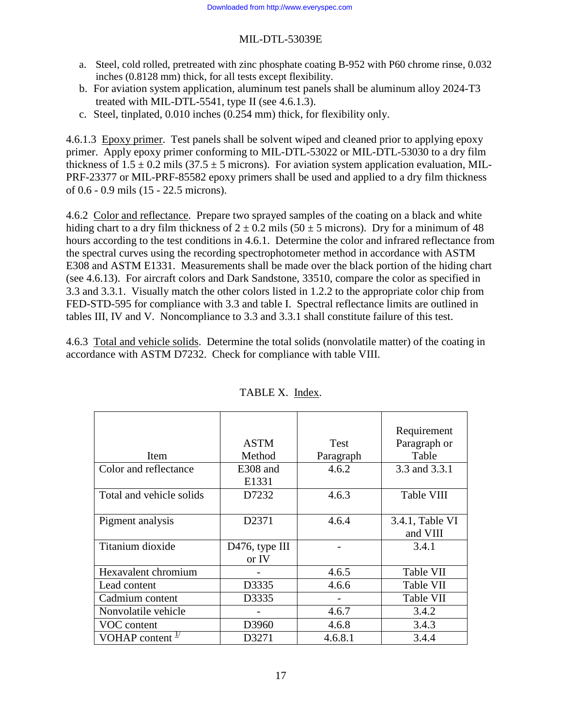- a. Steel, cold rolled, pretreated with zinc phosphate coating B-952 with P60 chrome rinse, 0.032 inches (0.8128 mm) thick, for all tests except flexibility.
- b. For aviation system application, aluminum test panels shall be aluminum alloy 2024-T3 treated with MIL-DTL-5541, type II (see 4.6.1.3).
- c. Steel, tinplated, 0.010 inches (0.254 mm) thick, for flexibility only.

4.6.1.3 Epoxy primer. Test panels shall be solvent wiped and cleaned prior to applying epoxy primer. Apply epoxy primer conforming to MIL-DTL-53022 or MIL-DTL-53030 to a dry film thickness of  $1.5 \pm 0.2$  mils (37.5  $\pm$  5 microns). For aviation system application evaluation, MIL-PRF-23377 or MIL-PRF-85582 epoxy primers shall be used and applied to a dry film thickness of 0.6 - 0.9 mils (15 - 22.5 microns).

4.6.2 Color and reflectance. Prepare two sprayed samples of the coating on a black and white hiding chart to a dry film thickness of  $2 \pm 0.2$  mils (50  $\pm$  5 microns). Dry for a minimum of 48 hours according to the test conditions in 4.6.1. Determine the color and infrared reflectance from the spectral curves using the recording spectrophotometer method in accordance with ASTM E308 and ASTM E1331. Measurements shall be made over the black portion of the hiding chart (see 4.6.13). For aircraft colors and Dark Sandstone, 33510, compare the color as specified in 3.3 and 3.3.1. Visually match the other colors listed in 1.2.2 to the appropriate color chip from FED-STD-595 for compliance with 3.3 and table I. Spectral reflectance limits are outlined in tables III, IV and V. Noncompliance to 3.3 and 3.3.1 shall constitute failure of this test.

4.6.3 Total and vehicle solids. Determine the total solids (nonvolatile matter) of the coating in accordance with ASTM D7232. Check for compliance with table VIII.

|                             |                             |             | Requirement     |
|-----------------------------|-----------------------------|-------------|-----------------|
|                             | <b>ASTM</b>                 | <b>Test</b> | Paragraph or    |
| <b>Item</b>                 | Method                      | Paragraph   | Table           |
| Color and reflectance       | E308 and                    | 4.6.2       | 3.3 and 3.3.1   |
|                             | E1331                       |             |                 |
| Total and vehicle solids    | D7232                       | 4.6.3       | Table VIII      |
|                             |                             |             |                 |
| Pigment analysis            | D2371                       | 4.6.4       | 3.4.1, Table VI |
|                             |                             |             | and VIII        |
| Titanium dioxide            | D <sub>476</sub> , type III |             | 3.4.1           |
|                             | or IV                       |             |                 |
| Hexavalent chromium         |                             | 4.6.5       | Table VII       |
| Lead content                | D3335                       | 4.6.6       | Table VII       |
| Cadmium content             | D3335                       |             | Table VII       |
| Nonvolatile vehicle         |                             | 4.6.7       | 3.4.2           |
| VOC content                 | D3960                       | 4.6.8       | 3.4.3           |
| VOHAP content $\frac{1}{2}$ | D3271                       | 4.6.8.1     | 3.4.4           |

#### TABLE X. Index.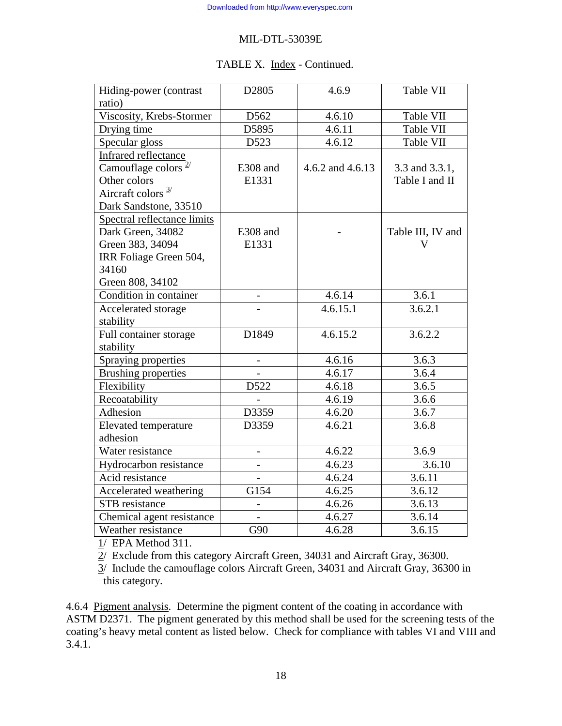### TABLE X. Index - Continued.

| Hiding-power (contrast        | D2805    | 4.6.9            | Table VII         |
|-------------------------------|----------|------------------|-------------------|
| ratio)                        |          |                  |                   |
| Viscosity, Krebs-Stormer      | D562     | 4.6.10           | Table VII         |
| Drying time                   | D5895    | 4.6.11           | Table VII         |
| Specular gloss                | D523     | 4.6.12           | Table VII         |
| <b>Infrared reflectance</b>   |          |                  |                   |
| Camouflage colors $2/$        | E308 and | 4.6.2 and 4.6.13 | 3.3 and 3.3.1,    |
| Other colors                  | E1331    |                  | Table I and II    |
| Aircraft colors $\frac{3}{2}$ |          |                  |                   |
| Dark Sandstone, 33510         |          |                  |                   |
| Spectral reflectance limits   |          |                  |                   |
| Dark Green, 34082             | E308 and |                  | Table III, IV and |
| Green 383, 34094              | E1331    |                  | V                 |
| IRR Foliage Green 504,        |          |                  |                   |
| 34160                         |          |                  |                   |
| Green 808, 34102              |          |                  |                   |
| Condition in container        |          | 4.6.14           | 3.6.1             |
| Accelerated storage           |          | 4.6.15.1         | 3.6.2.1           |
| stability                     |          |                  |                   |
| Full container storage        | D1849    | 4.6.15.2         | 3.6.2.2           |
| stability                     |          |                  |                   |
| Spraying properties           |          | 4.6.16           | 3.6.3             |
| <b>Brushing properties</b>    |          | 4.6.17           | 3.6.4             |
| Flexibility                   | D522     | 4.6.18           | 3.6.5             |
| Recoatability                 |          | 4.6.19           | 3.6.6             |
| Adhesion                      | D3359    | 4.6.20           | 3.6.7             |
| <b>Elevated</b> temperature   | D3359    | 4.6.21           | 3.6.8             |
| adhesion                      |          |                  |                   |
| Water resistance              |          | 4.6.22           | 3.6.9             |
| Hydrocarbon resistance        |          | 4.6.23           | 3.6.10            |
| Acid resistance               |          | 4.6.24           | 3.6.11            |
| Accelerated weathering        | G154     | 4.6.25           | 3.6.12            |
| STB resistance                |          | 4.6.26           | 3.6.13            |
| Chemical agent resistance     |          | 4.6.27           | 3.6.14            |
| Weather resistance            | G90      | 4.6.28           | 3.6.15            |

1/ EPA Method 311.

2/ Exclude from this category Aircraft Green, 34031 and Aircraft Gray, 36300.

 3/ Include the camouflage colors Aircraft Green, 34031 and Aircraft Gray, 36300 in this category.

4.6.4 Pigment analysis. Determine the pigment content of the coating in accordance with ASTM D2371. The pigment generated by this method shall be used for the screening tests of the coating's heavy metal content as listed below. Check for compliance with tables VI and VIII and 3.4.1.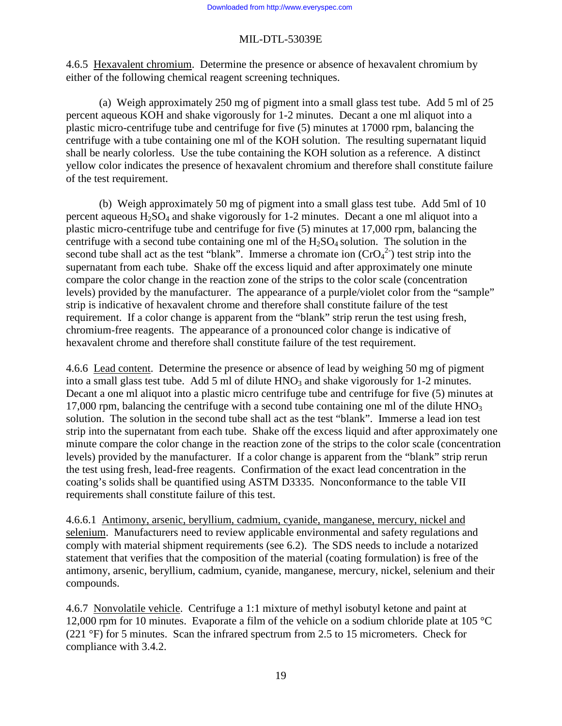4.6.5 Hexavalent chromium. Determine the presence or absence of hexavalent chromium by either of the following chemical reagent screening techniques.

 (a) Weigh approximately 250 mg of pigment into a small glass test tube. Add 5 ml of 25 percent aqueous KOH and shake vigorously for 1-2 minutes. Decant a one ml aliquot into a plastic micro-centrifuge tube and centrifuge for five (5) minutes at 17000 rpm, balancing the centrifuge with a tube containing one ml of the KOH solution. The resulting supernatant liquid shall be nearly colorless. Use the tube containing the KOH solution as a reference. A distinct yellow color indicates the presence of hexavalent chromium and therefore shall constitute failure of the test requirement.

 (b) Weigh approximately 50 mg of pigment into a small glass test tube. Add 5ml of 10 percent aqueous  $H_2SO_4$  and shake vigorously for 1-2 minutes. Decant a one ml aliquot into a plastic micro-centrifuge tube and centrifuge for five (5) minutes at 17,000 rpm, balancing the centrifuge with a second tube containing one ml of the  $H_2SO_4$  solution. The solution in the second tube shall act as the test "blank". Immerse a chromate ion  $(CrO<sub>4</sub><sup>2</sup>)$  test strip into the supernatant from each tube. Shake off the excess liquid and after approximately one minute compare the color change in the reaction zone of the strips to the color scale (concentration levels) provided by the manufacturer. The appearance of a purple/violet color from the "sample" strip is indicative of hexavalent chrome and therefore shall constitute failure of the test requirement. If a color change is apparent from the "blank" strip rerun the test using fresh, chromium-free reagents. The appearance of a pronounced color change is indicative of hexavalent chrome and therefore shall constitute failure of the test requirement.

4.6.6 Lead content. Determine the presence or absence of lead by weighing 50 mg of pigment into a small glass test tube. Add 5 ml of dilute  $HNO<sub>3</sub>$  and shake vigorously for 1-2 minutes. Decant a one ml aliquot into a plastic micro centrifuge tube and centrifuge for five (5) minutes at 17,000 rpm, balancing the centrifuge with a second tube containing one ml of the dilute  $HNO<sub>3</sub>$ solution. The solution in the second tube shall act as the test "blank". Immerse a lead ion test strip into the supernatant from each tube. Shake off the excess liquid and after approximately one minute compare the color change in the reaction zone of the strips to the color scale (concentration levels) provided by the manufacturer. If a color change is apparent from the "blank" strip rerun the test using fresh, lead-free reagents. Confirmation of the exact lead concentration in the coating's solids shall be quantified using ASTM D3335. Nonconformance to the table VII requirements shall constitute failure of this test.

4.6.6.1 Antimony, arsenic, beryllium, cadmium, cyanide, manganese, mercury, nickel and selenium. Manufacturers need to review applicable environmental and safety regulations and comply with material shipment requirements (see 6.2). The SDS needs to include a notarized statement that verifies that the composition of the material (coating formulation) is free of the antimony, arsenic, beryllium, cadmium, cyanide, manganese, mercury, nickel, selenium and their compounds.

4.6.7 Nonvolatile vehicle. Centrifuge a 1:1 mixture of methyl isobutyl ketone and paint at 12,000 rpm for 10 minutes. Evaporate a film of the vehicle on a sodium chloride plate at 105  $^{\circ}$ C (221 °F) for 5 minutes. Scan the infrared spectrum from 2.5 to 15 micrometers. Check for compliance with 3.4.2.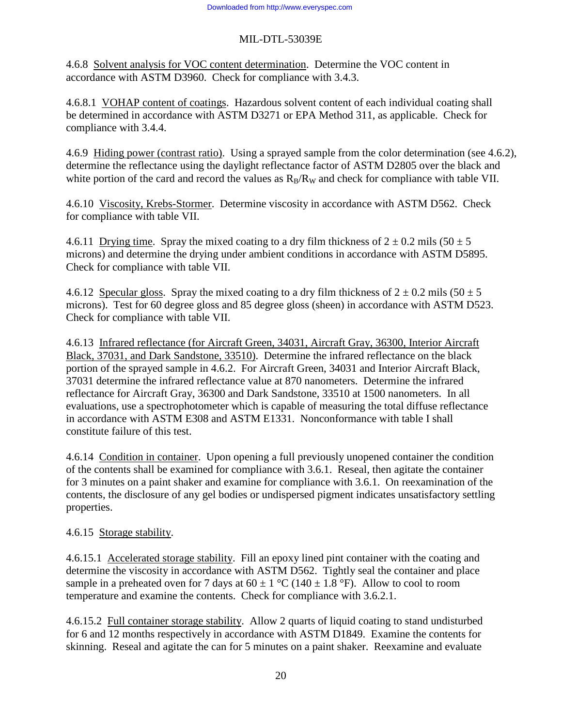4.6.8 Solvent analysis for VOC content determination. Determine the VOC content in accordance with ASTM D3960. Check for compliance with 3.4.3.

4.6.8.1 VOHAP content of coatings. Hazardous solvent content of each individual coating shall be determined in accordance with ASTM D3271 or EPA Method 311, as applicable. Check for compliance with 3.4.4.

4.6.9 Hiding power (contrast ratio). Using a sprayed sample from the color determination (see 4.6.2), determine the reflectance using the daylight reflectance factor of ASTM D2805 over the black and white portion of the card and record the values as  $R_B/R_W$  and check for compliance with table VII.

4.6.10 Viscosity, Krebs-Stormer. Determine viscosity in accordance with ASTM D562. Check for compliance with table VII.

4.6.11 Drying time. Spray the mixed coating to a dry film thickness of  $2 \pm 0.2$  mils (50  $\pm$  5 microns) and determine the drying under ambient conditions in accordance with ASTM D5895. Check for compliance with table VII.

4.6.12 Specular gloss. Spray the mixed coating to a dry film thickness of  $2 \pm 0.2$  mils (50  $\pm$  5 microns). Test for 60 degree gloss and 85 degree gloss (sheen) in accordance with ASTM D523. Check for compliance with table VII.

4.6.13 Infrared reflectance (for Aircraft Green, 34031, Aircraft Gray, 36300, Interior Aircraft Black, 37031, and Dark Sandstone, 33510). Determine the infrared reflectance on the black portion of the sprayed sample in 4.6.2. For Aircraft Green, 34031 and Interior Aircraft Black, 37031 determine the infrared reflectance value at 870 nanometers. Determine the infrared reflectance for Aircraft Gray, 36300 and Dark Sandstone, 33510 at 1500 nanometers. In all evaluations, use a spectrophotometer which is capable of measuring the total diffuse reflectance in accordance with ASTM E308 and ASTM E1331. Nonconformance with table I shall constitute failure of this test.

4.6.14 Condition in container. Upon opening a full previously unopened container the condition of the contents shall be examined for compliance with 3.6.1. Reseal, then agitate the container for 3 minutes on a paint shaker and examine for compliance with 3.6.1. On reexamination of the contents, the disclosure of any gel bodies or undispersed pigment indicates unsatisfactory settling properties.

# 4.6.15 Storage stability.

4.6.15.1 Accelerated storage stability. Fill an epoxy lined pint container with the coating and determine the viscosity in accordance with ASTM D562. Tightly seal the container and place sample in a preheated oven for 7 days at  $60 \pm 1$  °C (140  $\pm$  1.8 °F). Allow to cool to room temperature and examine the contents. Check for compliance with 3.6.2.1.

4.6.15.2 Full container storage stability. Allow 2 quarts of liquid coating to stand undisturbed for 6 and 12 months respectively in accordance with ASTM D1849. Examine the contents for skinning. Reseal and agitate the can for 5 minutes on a paint shaker. Reexamine and evaluate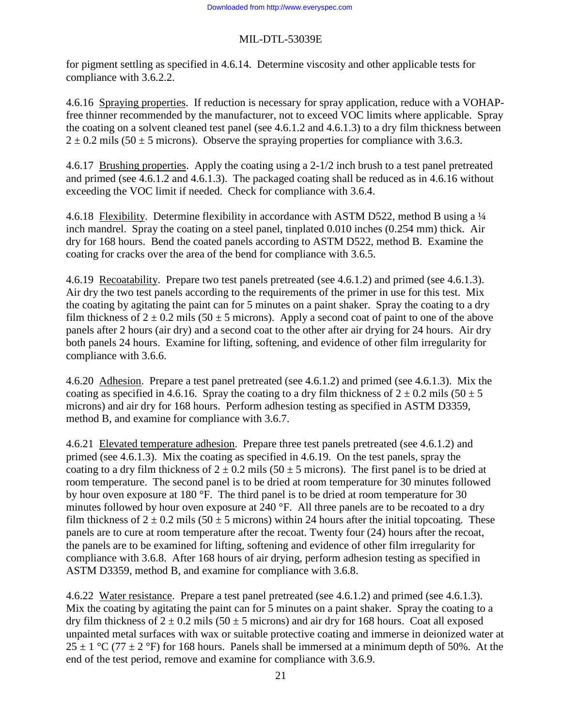for pigment settling as specified in 4.6.14. Determine viscosity and other applicable tests for compliance with 3.6.2.2.

4.6.16 Spraying properties. If reduction is necessary for spray application, reduce with a VOHAPfree thinner recommended by the manufacturer, not to exceed VOC limits where applicable. Spray the coating on a solvent cleaned test panel (see 4.6.1.2 and 4.6.1.3) to a dry film thickness between  $2 \pm 0.2$  mils (50  $\pm$  5 microns). Observe the spraying properties for compliance with 3.6.3.

4.6.17 Brushing properties. Apply the coating using a 2-1/2 inch brush to a test panel pretreated and primed (see 4.6.1.2 and 4.6.1.3). The packaged coating shall be reduced as in 4.6.16 without exceeding the VOC limit if needed. Check for compliance with 3.6.4.

4.6.18 Flexibility. Determine flexibility in accordance with ASTM D522, method B using a ¼ inch mandrel. Spray the coating on a steel panel, tinplated 0.010 inches (0.254 mm) thick. Air dry for 168 hours. Bend the coated panels according to ASTM D522, method B. Examine the coating for cracks over the area of the bend for compliance with 3.6.5.

4.6.19 Recoatability. Prepare two test panels pretreated (see 4.6.1.2) and primed (see 4.6.1.3). Air dry the two test panels according to the requirements of the primer in use for this test. Mix the coating by agitating the paint can for 5 minutes on a paint shaker. Spray the coating to a dry film thickness of  $2 \pm 0.2$  mils (50  $\pm$  5 microns). Apply a second coat of paint to one of the above panels after 2 hours (air dry) and a second coat to the other after air drying for 24 hours. Air dry both panels 24 hours. Examine for lifting, softening, and evidence of other film irregularity for compliance with 3.6.6.

4.6.20 Adhesion. Prepare a test panel pretreated (see 4.6.1.2) and primed (see 4.6.1.3). Mix the coating as specified in 4.6.16. Spray the coating to a dry film thickness of  $2 \pm 0.2$  mils (50  $\pm$  5 microns) and air dry for 168 hours. Perform adhesion testing as specified in ASTM D3359, method B, and examine for compliance with 3.6.7.

4.6.21 Elevated temperature adhesion. Prepare three test panels pretreated (see 4.6.1.2) and primed (see 4.6.1.3). Mix the coating as specified in 4.6.19. On the test panels, spray the coating to a dry film thickness of  $2 \pm 0.2$  mils (50  $\pm$  5 microns). The first panel is to be dried at room temperature. The second panel is to be dried at room temperature for 30 minutes followed by hour oven exposure at 180 °F. The third panel is to be dried at room temperature for 30 minutes followed by hour oven exposure at 240 °F. All three panels are to be recoated to a dry film thickness of  $2 \pm 0.2$  mils (50  $\pm$  5 microns) within 24 hours after the initial topcoating. These panels are to cure at room temperature after the recoat. Twenty four (24) hours after the recoat, the panels are to be examined for lifting, softening and evidence of other film irregularity for compliance with 3.6.8. After 168 hours of air drying, perform adhesion testing as specified in ASTM D3359, method B, and examine for compliance with 3.6.8.

4.6.22 Water resistance. Prepare a test panel pretreated (see 4.6.1.2) and primed (see 4.6.1.3). Mix the coating by agitating the paint can for 5 minutes on a paint shaker. Spray the coating to a dry film thickness of  $2 \pm 0.2$  mils (50  $\pm$  5 microns) and air dry for 168 hours. Coat all exposed unpainted metal surfaces with wax or suitable protective coating and immerse in deionized water at  $25 \pm 1$  °C (77  $\pm$  2 °F) for 168 hours. Panels shall be immersed at a minimum depth of 50%. At the end of the test period, remove and examine for compliance with 3.6.9.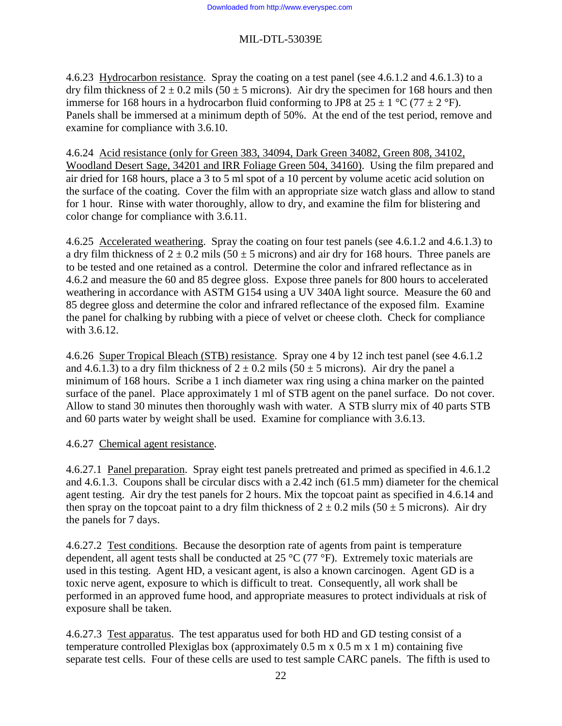4.6.23 Hydrocarbon resistance. Spray the coating on a test panel (see 4.6.1.2 and 4.6.1.3) to a dry film thickness of  $2 \pm 0.2$  mils (50  $\pm$  5 microns). Air dry the specimen for 168 hours and then immerse for 168 hours in a hydrocarbon fluid conforming to JP8 at  $25 \pm 1$  °C (77  $\pm$  2 °F). Panels shall be immersed at a minimum depth of 50%. At the end of the test period, remove and examine for compliance with 3.6.10.

4.6.24 Acid resistance (only for Green 383, 34094, Dark Green 34082, Green 808, 34102, Woodland Desert Sage, 34201 and IRR Foliage Green 504, 34160). Using the film prepared and air dried for 168 hours, place a 3 to 5 ml spot of a 10 percent by volume acetic acid solution on the surface of the coating. Cover the film with an appropriate size watch glass and allow to stand for 1 hour. Rinse with water thoroughly, allow to dry, and examine the film for blistering and color change for compliance with 3.6.11.

4.6.25 Accelerated weathering. Spray the coating on four test panels (see 4.6.1.2 and 4.6.1.3) to a dry film thickness of  $2 \pm 0.2$  mils (50  $\pm$  5 microns) and air dry for 168 hours. Three panels are to be tested and one retained as a control. Determine the color and infrared reflectance as in 4.6.2 and measure the 60 and 85 degree gloss. Expose three panels for 800 hours to accelerated weathering in accordance with ASTM G154 using a UV 340A light source. Measure the 60 and 85 degree gloss and determine the color and infrared reflectance of the exposed film. Examine the panel for chalking by rubbing with a piece of velvet or cheese cloth. Check for compliance with 3.6.12.

4.6.26 Super Tropical Bleach (STB) resistance. Spray one 4 by 12 inch test panel (see 4.6.1.2 and 4.6.1.3) to a dry film thickness of  $2 \pm 0.2$  mils (50  $\pm$  5 microns). Air dry the panel a minimum of 168 hours. Scribe a 1 inch diameter wax ring using a china marker on the painted surface of the panel. Place approximately 1 ml of STB agent on the panel surface. Do not cover. Allow to stand 30 minutes then thoroughly wash with water. A STB slurry mix of 40 parts STB and 60 parts water by weight shall be used. Examine for compliance with 3.6.13.

#### 4.6.27 Chemical agent resistance.

4.6.27.1 Panel preparation. Spray eight test panels pretreated and primed as specified in 4.6.1.2 and 4.6.1.3. Coupons shall be circular discs with a 2.42 inch (61.5 mm) diameter for the chemical agent testing. Air dry the test panels for 2 hours. Mix the topcoat paint as specified in 4.6.14 and then spray on the topcoat paint to a dry film thickness of  $2 \pm 0.2$  mils (50  $\pm$  5 microns). Air dry the panels for 7 days.

4.6.27.2 Test conditions. Because the desorption rate of agents from paint is temperature dependent, all agent tests shall be conducted at 25 °C (77 °F). Extremely toxic materials are used in this testing. Agent HD, a vesicant agent, is also a known carcinogen. Agent GD is a toxic nerve agent, exposure to which is difficult to treat. Consequently, all work shall be performed in an approved fume hood, and appropriate measures to protect individuals at risk of exposure shall be taken.

4.6.27.3 Test apparatus. The test apparatus used for both HD and GD testing consist of a temperature controlled Plexiglas box (approximately  $0.5$  m x  $0.5$  m x  $1$  m) containing five separate test cells. Four of these cells are used to test sample CARC panels. The fifth is used to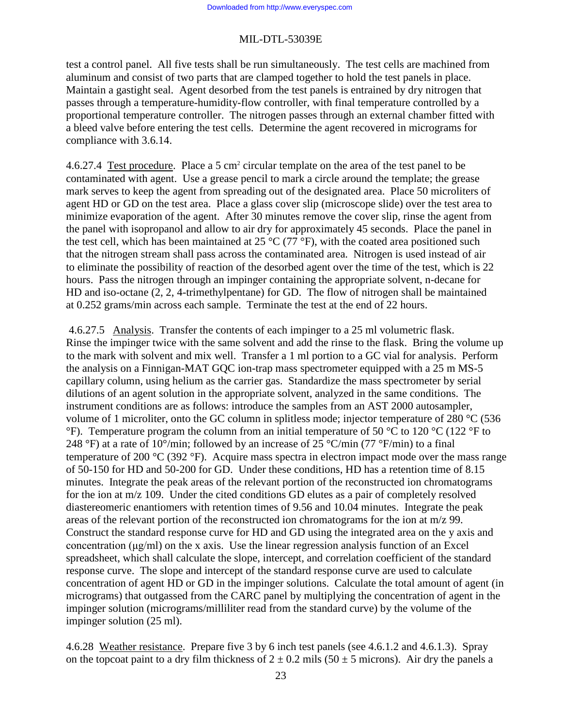test a control panel. All five tests shall be run simultaneously. The test cells are machined from aluminum and consist of two parts that are clamped together to hold the test panels in place. Maintain a gastight seal. Agent desorbed from the test panels is entrained by dry nitrogen that passes through a temperature-humidity-flow controller, with final temperature controlled by a proportional temperature controller. The nitrogen passes through an external chamber fitted with a bleed valve before entering the test cells. Determine the agent recovered in micrograms for compliance with 3.6.14.

4.6.27.4 Test procedure. Place a 5 cm<sup>2</sup> circular template on the area of the test panel to be contaminated with agent. Use a grease pencil to mark a circle around the template; the grease mark serves to keep the agent from spreading out of the designated area. Place 50 microliters of agent HD or GD on the test area. Place a glass cover slip (microscope slide) over the test area to minimize evaporation of the agent. After 30 minutes remove the cover slip, rinse the agent from the panel with isopropanol and allow to air dry for approximately 45 seconds. Place the panel in the test cell, which has been maintained at 25  $\rm{^{\circ}C}$  (77  $\rm{^{\circ}F}$ ), with the coated area positioned such that the nitrogen stream shall pass across the contaminated area. Nitrogen is used instead of air to eliminate the possibility of reaction of the desorbed agent over the time of the test, which is 22 hours. Pass the nitrogen through an impinger containing the appropriate solvent, n-decane for HD and iso-octane (2, 2, 4-trimethylpentane) for GD. The flow of nitrogen shall be maintained at 0.252 grams/min across each sample. Terminate the test at the end of 22 hours.

 4.6.27.5 Analysis. Transfer the contents of each impinger to a 25 ml volumetric flask. Rinse the impinger twice with the same solvent and add the rinse to the flask. Bring the volume up to the mark with solvent and mix well. Transfer a 1 ml portion to a GC vial for analysis. Perform the analysis on a Finnigan-MAT GQC ion-trap mass spectrometer equipped with a 25 m MS-5 capillary column, using helium as the carrier gas. Standardize the mass spectrometer by serial dilutions of an agent solution in the appropriate solvent, analyzed in the same conditions. The instrument conditions are as follows: introduce the samples from an AST 2000 autosampler, volume of 1 microliter, onto the GC column in splitless mode; injector temperature of 280 °C (536 °F). Temperature program the column from an initial temperature of 50 °C to 120 °C (122 °F to 248 °F) at a rate of 10°/min; followed by an increase of 25 °C/min (77 °F/min) to a final temperature of 200 °C (392 °F). Acquire mass spectra in electron impact mode over the mass range of 50-150 for HD and 50-200 for GD. Under these conditions, HD has a retention time of 8.15 minutes. Integrate the peak areas of the relevant portion of the reconstructed ion chromatograms for the ion at m/z 109. Under the cited conditions GD elutes as a pair of completely resolved diastereomeric enantiomers with retention times of 9.56 and 10.04 minutes. Integrate the peak areas of the relevant portion of the reconstructed ion chromatograms for the ion at m/z 99. Construct the standard response curve for HD and GD using the integrated area on the y axis and concentration (μg/ml) on the x axis. Use the linear regression analysis function of an Excel spreadsheet, which shall calculate the slope, intercept, and correlation coefficient of the standard response curve. The slope and intercept of the standard response curve are used to calculate concentration of agent HD or GD in the impinger solutions. Calculate the total amount of agent (in micrograms) that outgassed from the CARC panel by multiplying the concentration of agent in the impinger solution (micrograms/milliliter read from the standard curve) by the volume of the impinger solution (25 ml).

4.6.28 Weather resistance. Prepare five 3 by 6 inch test panels (see 4.6.1.2 and 4.6.1.3). Spray on the topcoat paint to a dry film thickness of  $2 \pm 0.2$  mils (50  $\pm$  5 microns). Air dry the panels a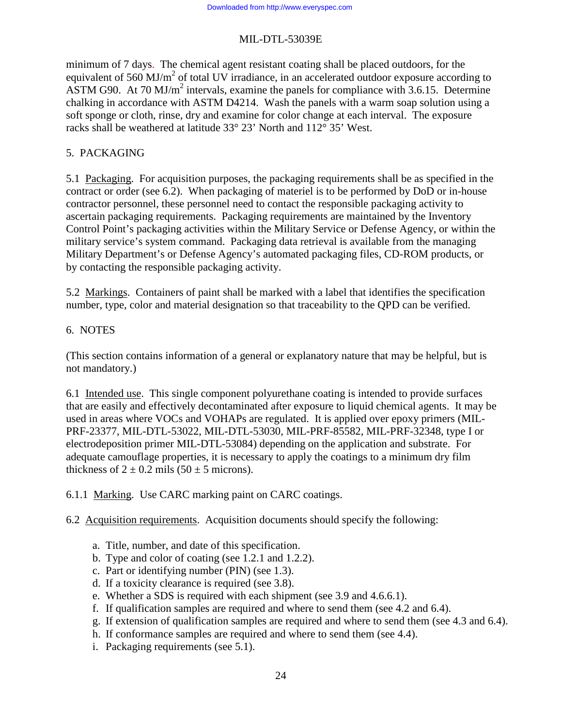minimum of 7 days. The chemical agent resistant coating shall be placed outdoors, for the equivalent of 560 MJ/ $m<sup>2</sup>$  of total UV irradiance, in an accelerated outdoor exposure according to ASTM G90. At 70 MJ/ $m^2$  intervals, examine the panels for compliance with 3.6.15. Determine chalking in accordance with ASTM D4214. Wash the panels with a warm soap solution using a soft sponge or cloth, rinse, dry and examine for color change at each interval. The exposure racks shall be weathered at latitude 33° 23' North and 112° 35' West.

# 5. PACKAGING

5.1 Packaging. For acquisition purposes, the packaging requirements shall be as specified in the contract or order (see 6.2). When packaging of materiel is to be performed by DoD or in-house contractor personnel, these personnel need to contact the responsible packaging activity to ascertain packaging requirements. Packaging requirements are maintained by the Inventory Control Point's packaging activities within the Military Service or Defense Agency, or within the military service's system command. Packaging data retrieval is available from the managing Military Department's or Defense Agency's automated packaging files, CD-ROM products, or by contacting the responsible packaging activity.

5.2 Markings. Containers of paint shall be marked with a label that identifies the specification number, type, color and material designation so that traceability to the QPD can be verified.

## 6. NOTES

(This section contains information of a general or explanatory nature that may be helpful, but is not mandatory.)

6.1 Intended use. This single component polyurethane coating is intended to provide surfaces that are easily and effectively decontaminated after exposure to liquid chemical agents. It may be used in areas where VOCs and VOHAPs are regulated. It is applied over epoxy primers (MIL-PRF-23377, MIL-DTL-53022, MIL-DTL-53030, MIL-PRF-85582, MIL-PRF-32348, type I or electrodeposition primer MIL-DTL-53084) depending on the application and substrate. For adequate camouflage properties, it is necessary to apply the coatings to a minimum dry film thickness of  $2 \pm 0.2$  mils (50  $\pm$  5 microns).

6.1.1 Marking. Use CARC marking paint on CARC coatings.

6.2 Acquisition requirements. Acquisition documents should specify the following:

- a. Title, number, and date of this specification.
- b. Type and color of coating (see 1.2.1 and 1.2.2).
- c. Part or identifying number (PIN) (see 1.3).
- d. If a toxicity clearance is required (see 3.8).
- e. Whether a SDS is required with each shipment (see 3.9 and 4.6.6.1).
- f. If qualification samples are required and where to send them (see 4.2 and 6.4).
- g. If extension of qualification samples are required and where to send them (see 4.3 and 6.4).
- h. If conformance samples are required and where to send them (see 4.4).
- i. Packaging requirements (see 5.1).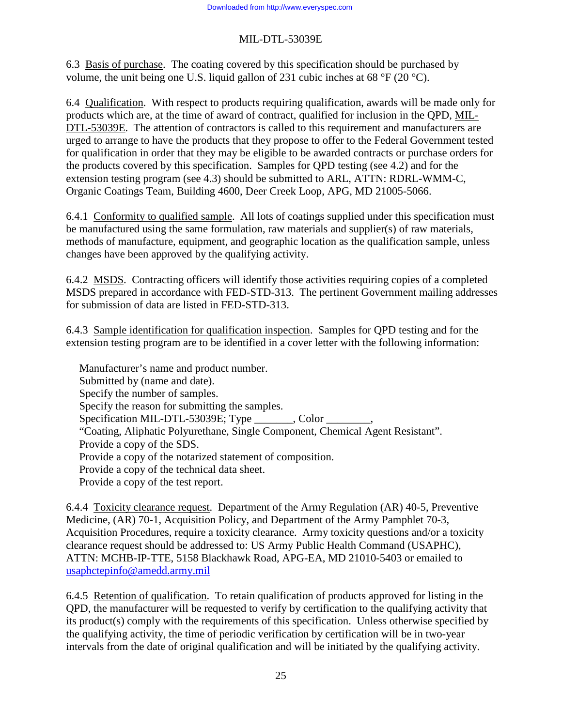6.3 Basis of purchase. The coating covered by this specification should be purchased by volume, the unit being one U.S. liquid gallon of 231 cubic inches at 68  $\degree$ F (20  $\degree$ C).

6.4 Qualification. With respect to products requiring qualification, awards will be made only for products which are, at the time of award of contract, qualified for inclusion in the QPD, MIL-DTL-53039E. The attention of contractors is called to this requirement and manufacturers are urged to arrange to have the products that they propose to offer to the Federal Government tested for qualification in order that they may be eligible to be awarded contracts or purchase orders for the products covered by this specification. Samples for QPD testing (see 4.2) and for the extension testing program (see 4.3) should be submitted to ARL, ATTN: RDRL-WMM-C, Organic Coatings Team, Building 4600, Deer Creek Loop, APG, MD 21005-5066.

6.4.1 Conformity to qualified sample. All lots of coatings supplied under this specification must be manufactured using the same formulation, raw materials and supplier(s) of raw materials, methods of manufacture, equipment, and geographic location as the qualification sample, unless changes have been approved by the qualifying activity.

6.4.2 MSDS. Contracting officers will identify those activities requiring copies of a completed MSDS prepared in accordance with FED-STD-313. The pertinent Government mailing addresses for submission of data are listed in FED-STD-313.

6.4.3 Sample identification for qualification inspection. Samples for QPD testing and for the extension testing program are to be identified in a cover letter with the following information:

Manufacturer's name and product number. Submitted by (name and date). Specify the number of samples. Specify the reason for submitting the samples. Specification MIL-DTL-53039E; Type color "Coating, Aliphatic Polyurethane, Single Component, Chemical Agent Resistant". Provide a copy of the SDS. Provide a copy of the notarized statement of composition. Provide a copy of the technical data sheet. Provide a copy of the test report.

6.4.4 Toxicity clearance request. Department of the Army Regulation (AR) 40-5, Preventive Medicine, (AR) 70-1, Acquisition Policy, and Department of the Army Pamphlet 70-3, Acquisition Procedures, require a toxicity clearance. Army toxicity questions and/or a toxicity clearance request should be addressed to: US Army Public Health Command (USAPHC), ATTN: MCHB-IP-TTE, 5158 Blackhawk Road, APG-EA, MD 21010-5403 or emailed to usaphctepinfo@amedd.army.mil

6.4.5 Retention of qualification. To retain qualification of products approved for listing in the QPD, the manufacturer will be requested to verify by certification to the qualifying activity that its product(s) comply with the requirements of this specification. Unless otherwise specified by the qualifying activity, the time of periodic verification by certification will be in two-year intervals from the date of original qualification and will be initiated by the qualifying activity.